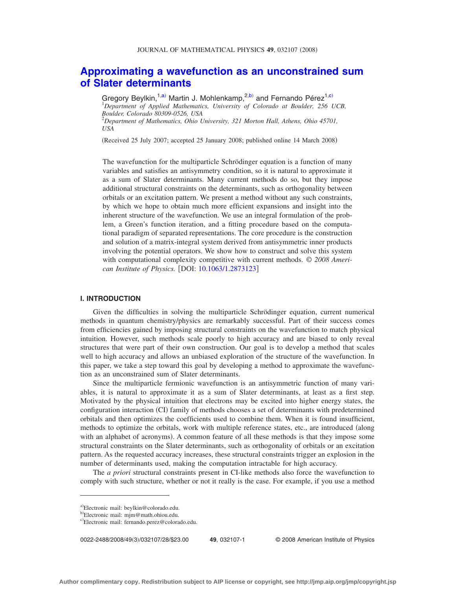# **[Approximating a wavefunction as an unconstrained sum](http://dx.doi.org/10.1063/1.2873123) [of Slater determinants](http://dx.doi.org/10.1063/1.2873123)**

Gregory Beylkin,<sup>1[,a](#page-0-0))</sup> Martin J. Mohlenkamp,<sup>2[,b](#page-0-1))</sup> and Fernando Pérez<sup>1[,c](#page-0-2))</sup><br><sup>1</sup>Department of Applied Mathematics, University of Colorado at Boulder, 256 UCB, *Boulder, Colorado 80309-0526, USA* 2 *Department of Mathematics, Ohio University, 321 Morton Hall, Athens, Ohio 45701, USA*

(Received 25 July 2007; accepted 25 January 2008; published online 14 March 2008)

The wavefunction for the multiparticle Schrödinger equation is a function of many variables and satisfies an antisymmetry condition, so it is natural to approximate it as a sum of Slater determinants. Many current methods do so, but they impose additional structural constraints on the determinants, such as orthogonality between orbitals or an excitation pattern. We present a method without any such constraints, by which we hope to obtain much more efficient expansions and insight into the inherent structure of the wavefunction. We use an integral formulation of the problem, a Green's function iteration, and a fitting procedure based on the computational paradigm of separated representations. The core procedure is the construction and solution of a matrix-integral system derived from antisymmetric inner products involving the potential operators. We show how to construct and solve this system with computational complexity competitive with current methods. © *2008 American Institute of Physics.* [DOI: [10.1063/1.2873123](http://dx.doi.org/10.1063/1.2873123)]

# **I. INTRODUCTION**

Given the difficulties in solving the multiparticle Schrödinger equation, current numerical methods in quantum chemistry/physics are remarkably successful. Part of their success comes from efficiencies gained by imposing structural constraints on the wavefunction to match physical intuition. However, such methods scale poorly to high accuracy and are biased to only reveal structures that were part of their own construction. Our goal is to develop a method that scales well to high accuracy and allows an unbiased exploration of the structure of the wavefunction. In this paper, we take a step toward this goal by developing a method to approximate the wavefunction as an unconstrained sum of Slater determinants.

Since the multiparticle fermionic wavefunction is an antisymmetric function of many variables, it is natural to approximate it as a sum of Slater determinants, at least as a first step. Motivated by the physical intuition that electrons may be excited into higher energy states, the configuration interaction (CI) family of methods chooses a set of determinants with predetermined orbitals and then optimizes the coefficients used to combine them. When it is found insufficient, methods to optimize the orbitals, work with multiple reference states, etc., are introduced (along with an alphabet of acronyms). A common feature of all these methods is that they impose some structural constraints on the Slater determinants, such as orthogonality of orbitals or an excitation pattern. As the requested accuracy increases, these structural constraints trigger an explosion in the number of determinants used, making the computation intractable for high accuracy.

The *a priori* structural constraints present in CI-like methods also force the wavefunction to comply with such structure, whether or not it really is the case. For example, if you use a method

0022-2488/2008/49(3)/032107/28/\$23.00

3/032107/28/\$23.00 © 2008 American Institute of Physics **49**, 032107-1

<span id="page-0-0"></span>a)Electronic mail: beylkin@colorado.edu.

<span id="page-0-1"></span>b)Electronic mail: mjm@math.ohiou.edu.

<span id="page-0-2"></span>c)Electronic mail: fernando.perez@colorado.edu.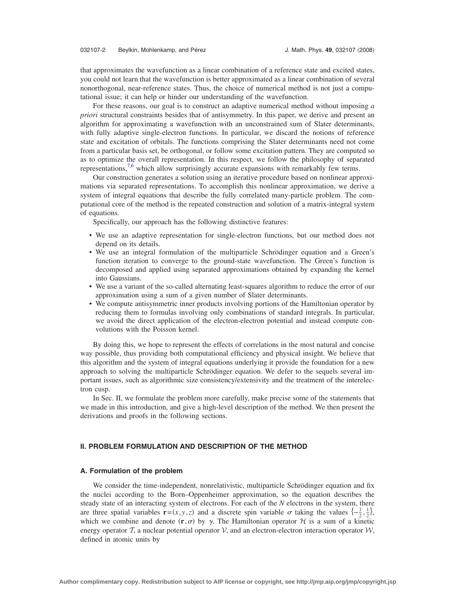that approximates the wavefunction as a linear combination of a reference state and excited states, you could not learn that the wavefunction is better approximated as a linear combination of several nonorthogonal, near-reference states. Thus, the choice of numerical method is not just a computational issue; it can help or hinder our understanding of the wavefunction.

For these reasons, our goal is to construct an adaptive numerical method without imposing *a priori* structural constraints besides that of antisymmetry. In this paper, we derive and present an algorithm for approximating a wavefunction with an unconstrained sum of Slater determinants, with fully adaptive single-electron functions. In particular, we discard the notions of reference state and excitation of orbitals. The functions comprising the Slater determinants need not come from a particular basis set, be orthogonal, or follow some excitation pattern. They are computed so as to optimize the overall representation. In this respect, we follow the philosophy of separated representations,<sup>7[,6](#page-26-1)</sup> which allow surprisingly accurate expansions with remarkably few terms.

Our construction generates a solution using an iterative procedure based on nonlinear approximations via separated representations. To accomplish this nonlinear approximation, we derive a system of integral equations that describe the fully correlated many-particle problem. The computational core of the method is the repeated construction and solution of a matrix-integral system of equations.

Specifically, our approach has the following distinctive features:

- We use an adaptive representation for single-electron functions, but our method does not depend on its details.
- We use an integral formulation of the multiparticle Schrödinger equation and a Green's function iteration to converge to the ground-state wavefunction. The Green's function is decomposed and applied using separated approximations obtained by expanding the kernel into Gaussians.
- We use a variant of the so-called alternating least-squares algorithm to reduce the error of our approximation using a sum of a given number of Slater determinants.
- We compute antisymmetric inner products involving portions of the Hamiltonian operator by reducing them to formulas involving only combinations of standard integrals. In particular, we avoid the direct application of the electron-electron potential and instead compute convolutions with the Poisson kernel.

By doing this, we hope to represent the effects of correlations in the most natural and concise way possible, thus providing both computational efficiency and physical insight. We believe that this algorithm and the system of integral equations underlying it provide the foundation for a new approach to solving the multiparticle Schrödinger equation. We defer to the sequels several important issues, such as algorithmic size consistency/extensivity and the treatment of the interelectron cusp.

In Sec. II, we formulate the problem more carefully, make precise some of the statements that we made in this introduction, and give a high-level description of the method. We then present the derivations and proofs in the following sections.

### **II. PROBLEM FORMULATION AND DESCRIPTION OF THE METHOD**

# **A. Formulation of the problem**

We consider the time-independent, nonrelativistic, multiparticle Schrödinger equation and fix the nuclei according to the Born–Oppenheimer approximation, so the equation describes the steady state of an interacting system of electrons. For each of the *N* electrons in the system, there are three spatial variables **r**= $(x, y, z)$  and a discrete spin variable  $\sigma$  taking the values  $\{-\frac{1}{2}, \frac{1}{2}\}$ , which we combine and denote  $(\mathbf{r}, \sigma)$  by  $\gamma$ . The Hamiltonian operator  $\mathcal{H}$  is a sum of a kinetic energy operator T, a nuclear potential operator V, and an electron-electron interaction operator  $W$ , defined in atomic units by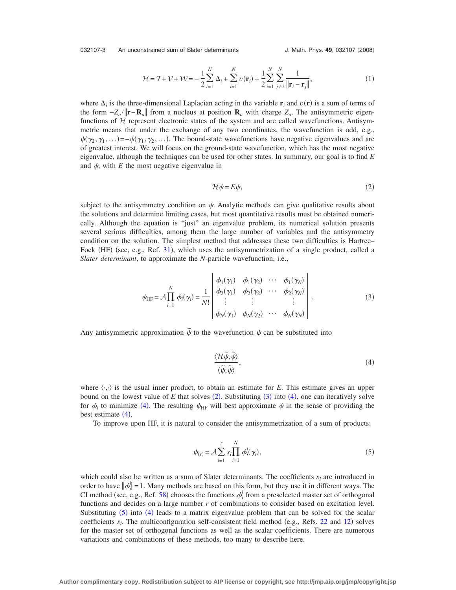032107-3 An unconstrained sum of Slater determinants

J. Math. Phys. 49, 032107 (2008)

$$
\mathcal{H} = \mathcal{T} + \mathcal{V} + \mathcal{W} = -\frac{1}{2} \sum_{i=1}^{N} \Delta_i + \sum_{i=1}^{N} v(\mathbf{r}_i) + \frac{1}{2} \sum_{i=1}^{N} \sum_{j \neq i}^{N} \frac{1}{\|\mathbf{r}_i - \mathbf{r}_j\|},\tag{1}
$$

where  $\Delta_i$  is the three-dimensional Laplacian acting in the variable  $\mathbf{r}_i$  and  $v(\mathbf{r})$  is a sum of terms of the form  $-Z_a/\Vert \mathbf{r}-\mathbf{R}_a\Vert$  from a nucleus at position  $\mathbf{R}_a$  with charge  $Z_a$ . The antisymmetric eigenfunctions of  $H$  represent electronic states of the system and are called wavefunctions. Antisymmetric means that under the exchange of any two coordinates, the wavefunction is odd, e.g.,  $\psi(\gamma_2, \gamma_1, \ldots) = -\psi(\gamma_1, \gamma_2, \ldots)$ . The bound-state wavefunctions have negative eigenvalues and are of greatest interest. We will focus on the ground-state wavefunction, which has the most negative eigenvalue, although the techniques can be used for other states. In summary, our goal is to find *E* and  $\psi$ , with *E* the most negative eigenvalue in

$$
\mathcal{H}\psi = E\psi,\tag{2}
$$

<span id="page-2-0"></span>subject to the antisymmetry condition on  $\psi$ . Analytic methods can give qualitative results about the solutions and determine limiting cases, but most quantitative results must be obtained numerically. Although the equation is "just" an eigenvalue problem, its numerical solution presents several serious difficulties, among them the large number of variables and the antisymmetry condition on the solution. The simplest method that addresses these two difficulties is Hartree– Fock (HF) (see, e.g., Ref. [31](#page-26-2)), which uses the antisymmetrization of a single product, called a *Slater determinant*, to approximate the *N*-particle wavefunction, i.e.,

$$
\psi_{\text{HF}} = \mathcal{A} \prod_{i=1}^{N} \phi_i(\gamma_i) = \frac{1}{N!} \begin{bmatrix} \phi_1(\gamma_1) & \phi_1(\gamma_2) & \cdots & \phi_1(\gamma_N) \\ \phi_2(\gamma_1) & \phi_2(\gamma_2) & \cdots & \phi_2(\gamma_N) \\ \vdots & \vdots & & \vdots \\ \phi_N(\gamma_1) & \phi_N(\gamma_2) & \cdots & \phi_N(\gamma_N) \end{bmatrix} . \tag{3}
$$

<span id="page-2-2"></span><span id="page-2-1"></span>Any antisymmetric approximation  $\tilde{\psi}$  to the wavefunction  $\psi$  can be substituted into

$$
\frac{\langle \mathcal{H}\widetilde{\psi},\widetilde{\psi}\rangle}{\langle \widetilde{\psi},\widetilde{\psi}\rangle},\tag{4}
$$

 $\mathbf{r}$ 

where  $\langle \cdot, \cdot \rangle$  is the usual inner product, to obtain an estimate for *E*. This estimate gives an upper bound on the lowest value of  $E$  that solves  $(2)$  $(2)$  $(2)$ . Substituting  $(3)$  $(3)$  $(3)$  into  $(4)$  $(4)$  $(4)$ , one can iteratively solve for  $\phi_i$  to minimize ([4](#page-2-2)). The resulting  $\psi_{HF}$  will best approximate  $\psi$  in the sense of providing the best estimate ([4](#page-2-2)).

<span id="page-2-3"></span>To improve upon HF, it is natural to consider the antisymmetrization of a sum of products:

$$
\psi_{(r)} = \mathcal{A} \sum_{l=1}^{r} s_l \prod_{i=1}^{N} \phi_i^l(\gamma_i), \qquad (5)
$$

which could also be written as a sum of Slater determinants. The coefficients  $s_l$  are introduced in order to have  $\|\phi_i^l\|=1$ . Many methods are based on this form, but they use it in different ways. The CI method (see, e.g., Ref. [58](#page-27-0)) chooses the functions  $\phi_i^l$  from a preselected master set of orthogonal functions and decides on a large number *r* of combinations to consider based on excitation level. Substituting  $(5)$  $(5)$  $(5)$  into  $(4)$  $(4)$  $(4)$  leads to a matrix eigenvalue problem that can be solved for the scalar coefficients  $s_l$ . The multiconfiguration self-consistent field method (e.g., Refs. [22](#page-26-3) and [12](#page-26-4)) solves for the master set of orthogonal functions as well as the scalar coefficients. There are numerous variations and combinations of these methods, too many to describe here.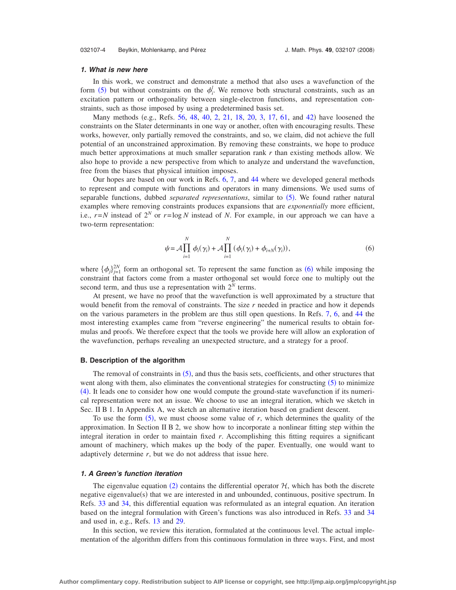## *1. What is new here*

In this work, we construct and demonstrate a method that also uses a wavefunction of the form ([5](#page-2-3)) but without constraints on the  $\phi_i^l$ . We remove both structural constraints, such as an excitation pattern or orthogonality between single-electron functions, and representation constraints, such as those imposed by using a predetermined basis set.

Many methods (e.g., Refs. [56,](#page-27-1) [48,](#page-27-2) [40,](#page-27-3) [2,](#page-26-5) [21,](#page-26-6) [18,](#page-26-7) [20,](#page-26-8) [3,](#page-26-9) [17,](#page-26-10) [61,](#page-27-4) and [42](#page-27-5)) have loosened the constraints on the Slater determinants in one way or another, often with encouraging results. These works, however, only partially removed the constraints, and so, we claim, did not achieve the full potential of an unconstrained approximation. By removing these constraints, we hope to produce much better approximations at much smaller separation rank *r* than existing methods allow. We also hope to provide a new perspective from which to analyze and understand the wavefunction, free from the biases that physical intuition imposes.

Our hopes are based on our work in Refs. [6,](#page-26-1) [7,](#page-26-0) and [44](#page-27-6) where we developed general methods to represent and compute with functions and operators in many dimensions. We used sums of separable functions, dubbed *separated representations*, similar to ([5](#page-2-3)). We found rather natural examples where removing constraints produces expansions that are *exponentially* more efficient, i.e.,  $r=N$  instead of  $2^N$  or  $r=\log N$  instead of *N*. For example, in our approach we can have a two-term representation:

$$
\psi = \mathcal{A} \prod_{i=1}^{N} \phi_i(\gamma_i) + \mathcal{A} \prod_{i=1}^{N} (\phi_i(\gamma_i) + \phi_{i+N}(\gamma_i)),
$$
\n(6)

<span id="page-3-0"></span>where  $\{\phi_j\}_{j=1}^{2N}$  form an orthogonal set. To represent the same function as ([6](#page-3-0)) while imposing the constraint that factors come from a master orthogonal set would force one to multiply out the second term, and thus use a representation with 2*<sup>N</sup>* terms.

At present, we have no proof that the wavefunction is well approximated by a structure that would benefit from the removal of constraints. The size *r* needed in practice and how it depends on the various parameters in the problem are thus still open questions. In Refs. [7,](#page-26-0) [6,](#page-26-1) and [44](#page-27-6) the most interesting examples came from "reverse engineering" the numerical results to obtain formulas and proofs. We therefore expect that the tools we provide here will allow an exploration of the wavefunction, perhaps revealing an unexpected structure, and a strategy for a proof.

### **B. Description of the algorithm**

The removal of constraints in  $(5)$  $(5)$  $(5)$ , and thus the basis sets, coefficients, and other structures that went along with them, also eliminates the conventional strategies for constructing  $(5)$  $(5)$  $(5)$  to minimize ([4](#page-2-2)). It leads one to consider how one would compute the ground-state wavefunction if its numerical representation were not an issue. We choose to use an integral iteration, which we sketch in Sec. II B 1. In Appendix A, we sketch an alternative iteration based on gradient descent.

To use the form  $(5)$  $(5)$  $(5)$ , we must choose some value of  $r$ , which determines the quality of the approximation. In Section II B 2, we show how to incorporate a nonlinear fitting step within the integral iteration in order to maintain fixed *r*. Accomplishing this fitting requires a significant amount of machinery, which makes up the body of the paper. Eventually, one would want to adaptively determine *r*, but we do not address that issue here.

### *1. A Green's function iteration*

The eigenvalue equation ([2](#page-2-0)) contains the differential operator  $H$ , which has both the discrete negative eigenvalue(s) that we are interested in and unbounded, continuous, positive spectrum. In Refs. [33](#page-26-11) and [34,](#page-26-12) this differential equation was reformulated as an integral equation. An iteration based on the integral formulation with Green's functions was also introduced in Refs. [33](#page-26-11) and [34](#page-26-12) and used in, e.g., Refs. [13](#page-26-13) and [29.](#page-26-14)

In this section, we review this iteration, formulated at the continuous level. The actual implementation of the algorithm differs from this continuous formulation in three ways. First, and most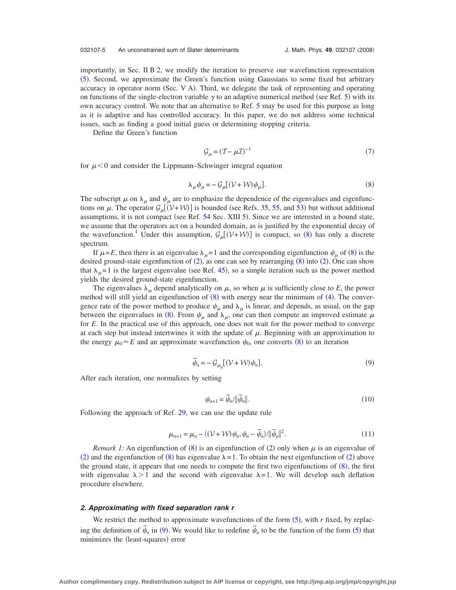importantly, in Sec. II B 2, we modify the iteration to preserve our wavefunction representation ([5](#page-2-3)). Second, we approximate the Green's function using Gaussians to some fixed but arbitrary accuracy in operator norm (Sec. V A). Third, we delegate the task of representing and operating on functions of the single-electron variable  $\gamma$  to an adaptive numerical method (see Ref. [5](#page-26-15)) with its own accuracy control. We note that an alternative to Ref. [5](#page-26-15) may be used for this purpose as long as it is adaptive and has controlled accuracy. In this paper, we do not address some technical issues, such as finding a good initial guess or determining stopping criteria.

Define the Green's function

$$
\mathcal{G}_{\mu} = (T - \mu \mathcal{I})^{-1} \tag{7}
$$

<span id="page-4-3"></span><span id="page-4-0"></span>for  $\mu < 0$  and consider the Lippmann–Schwinger integral equation

$$
\lambda_{\mu}\psi_{\mu} = -\mathcal{G}_{\mu}[(\mathcal{V} + \mathcal{W})\psi_{\mu}].
$$
\n(8)

The subscript  $\mu$  on  $\lambda_{\mu}$  and  $\psi_{\mu}$  are to emphasize the dependence of the eigenvalues and eigenfunctions on  $\mu$ . The operator  $\mathcal{G}_{\mu}[(\mathcal{V}+\mathcal{W})]$  is bounded (see Refs. [35,](#page-27-7) [55,](#page-27-8) and [53](#page-27-9)) but without additional assumptions, it is not compact (see Ref. [54](#page-27-10) Sec. XIII 5). Since we are interested in a bound state, we assume that the operators act on a bounded domain, as is justified by the exponential decay of the wavefunction.<sup>1</sup> Under this assumption,  $G_{\mu}[(\nu+\nu)]$  is compact, so ([8](#page-4-0)) has only a discrete spectrum.

If  $\mu = E$ , then there is an eigenvalue  $\lambda_{\mu} = 1$  and the corresponding eigenfunction  $\psi_{\mu}$  of ([8](#page-4-0)) is the desired ground-state eigenfunction of  $(2)$  $(2)$  $(2)$ , as one can see by rearranging  $(8)$  $(8)$  $(8)$  into  $(2)$ . One can show that  $\lambda_{\mu} = 1$  is the largest eigenvalue (see Ref. [45](#page-27-11)), so a simple iteration such as the power method yields the desired ground-state eigenfunction.

The eigenvalues  $\lambda_{\mu}$  depend analytically on  $\mu$ , so when  $\mu$  is sufficiently close to *E*, the power method will still yield an eigenfunction of  $(8)$  $(8)$  $(8)$  with energy near the minimum of  $(4)$  $(4)$  $(4)$ . The convergence rate of the power method to produce  $\psi_{\mu}$  and  $\lambda_{\mu}$  is linear, and depends, as usual, on the gap between the eigenvalues in ([8](#page-4-0)). From  $\psi_{\mu}$  and  $\lambda_{\mu}$ , one can then compute an improved estimate  $\mu$ for *E*. In the practical use of this approach, one does not wait for the power method to converge at each step but instead intertwines it with the update of  $\mu$ . Beginning with an approximation to the energy  $\mu_0 \approx E$  and an approximate wavefunction  $\psi_0$ , one converts ([8](#page-4-0)) to an iteration

$$
\widetilde{\psi}_n = -\mathcal{G}_{\mu_n}[(\mathcal{V} + \mathcal{W})\psi_n].
$$
\n(9)

<span id="page-4-4"></span><span id="page-4-1"></span>After each iteration, one normalizes by setting

$$
\psi_{n+1} = \widetilde{\psi}_n / \|\widetilde{\psi}_n\|.\tag{10}
$$

<span id="page-4-2"></span>Following the approach of Ref. [29,](#page-26-14) we can use the update rule

$$
\mu_{n+1} = \mu_n - \langle (\mathcal{V} + \mathcal{W}) \psi_n, \psi_n - \widetilde{\psi}_n \rangle / ||\widetilde{\psi}_n||^2.
$$
\n(11)

*Remark 1:* An eigenfunction of  $(8)$  $(8)$  $(8)$  is an eigenfunction of  $(2)$  $(2)$  $(2)$  only when  $\mu$  is an eigenvalue of ([2](#page-2-0)) and the eigenfunction of ([8](#page-4-0)) has eigenvalue  $\lambda = 1$ . To obtain the next eigenfunction of (2) above the ground state, it appears that one needs to compute the first two eigenfunctions of  $(8)$  $(8)$  $(8)$ , the first with eigenvalue  $\lambda > 1$  and the second with eigenvalue  $\lambda = 1$ . We will develop such deflation procedure elsewhere.

### *2. Approximating with fixed separation rank r*

We restrict the method to approximate wavefunctions of the form  $(5)$  $(5)$  $(5)$ , with  $r$  fixed, by replacing the definition of  $\tilde{\psi}_n$  in ([9](#page-4-1)). We would like to redefine  $\tilde{\psi}_n$  to be the function of the form ([5](#page-2-3)) that minimizes the (least-squares) error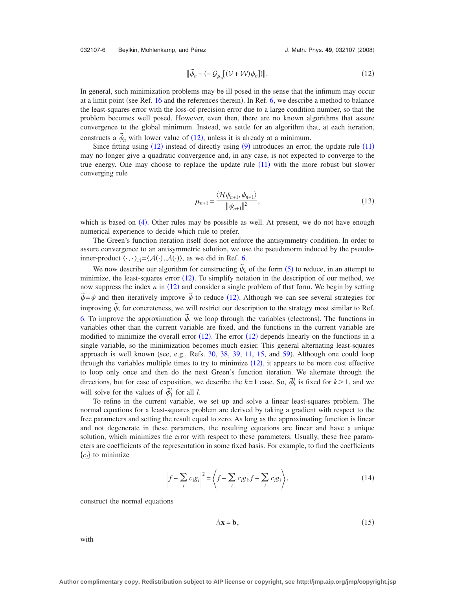$$
\|\widetilde{\psi}_n - \left(-\mathcal{G}_{\mu_n}[(\mathcal{V} + \mathcal{W})\psi_n]\right)\|.
$$
\n(12)

<span id="page-5-0"></span>In general, such minimization problems may be ill posed in the sense that the infimum may occur at a limit point (see Ref. [16](#page-26-17) and the references therein). In Ref. [6,](#page-26-1) we describe a method to balance the least-squares error with the loss-of-precision error due to a large condition number, so that the problem becomes well posed. However, even then, there are no known algorithms that assure convergence to the global minimum. Instead, we settle for an algorithm that, at each iteration, constructs a  $\tilde{\psi}_n$  with lower value of  $(12)$  $(12)$  $(12)$ , unless it is already at a minimum.

Since fitting using  $(12)$  $(12)$  $(12)$  instead of directly using  $(9)$  $(9)$  $(9)$  introduces an error, the update rule  $(11)$  $(11)$  $(11)$ may no longer give a quadratic convergence and, in any case, is not expected to converge to the true energy. One may choose to replace the update rule  $(11)$  $(11)$  $(11)$  with the more robust but slower converging rule

$$
\mu_{n+1} = \frac{\langle \mathcal{H} \psi_{n+1}, \psi_{n+1} \rangle}{\|\psi_{n+1}\|^2},\tag{13}
$$

<span id="page-5-2"></span>which is based on  $(4)$  $(4)$  $(4)$ . Other rules may be possible as well. At present, we do not have enough numerical experience to decide which rule to prefer.

The Green's function iteration itself does not enforce the antisymmetry condition. In order to assure convergence to an antisymmetric solution, we use the pseudonorm induced by the pseudoinner-product  $\langle \cdot, \cdot \rangle_{\mathcal{A}} = \langle \mathcal{A}(\cdot), \mathcal{A}(\cdot) \rangle$ , as we did in Ref. [6.](#page-26-1)

We now describe our algorithm for constructing  $\tilde{\psi}_n$  of the form ([5](#page-2-3)) to reduce, in an attempt to minimize, the least-squares error  $(12)$  $(12)$  $(12)$ . To simplify notation in the description of our method, we now suppress the index *n* in ([12](#page-5-0)) and consider a single problem of that form. We begin by setting  $\tilde{\psi} = \psi$  and then iteratively improve  $\tilde{\psi}$  to reduce ([12](#page-5-0)). Although we can see several strategies for improving  $\tilde{\psi}$ , for concreteness, we will restrict our description to the strategy most similar to Ref. [6.](#page-26-1) To improve the approximation  $\tilde{\psi}$ , we loop through the variables (electrons). The functions in variables other than the current variable are fixed, and the functions in the current variable are modified to minimize the overall error  $(12)$  $(12)$  $(12)$ . The error  $(12)$  depends linearly on the functions in a single variable, so the minimization becomes much easier. This general alternating least-squares approach is well known (see, e.g., Refs.  $30, 38, 39, 11, 15,$  $30, 38, 39, 11, 15,$  $30, 38, 39, 11, 15,$  $30, 38, 39, 11, 15,$  $30, 38, 39, 11, 15,$  $30, 38, 39, 11, 15,$  $30, 38, 39, 11, 15,$  $30, 38, 39, 11, 15,$  $30, 38, 39, 11, 15,$  and  $59$ ). Although one could loop through the variables multiple times to try to minimize  $(12)$  $(12)$  $(12)$ , it appears to be more cost effective to loop only once and then do the next Green's function iteration. We alternate through the directions, but for ease of exposition, we describe the  $k=1$  case. So,  $\tilde{\phi}_k^l$  is fixed for  $k>1$ , and we will solve for the values of  $\tilde{\phi}_1^l$  for all *l*.

To refine in the current variable, we set up and solve a linear least-squares problem. The normal equations for a least-squares problem are derived by taking a gradient with respect to the free parameters and setting the result equal to zero. As long as the approximating function is linear and not degenerate in these parameters, the resulting equations are linear and have a unique solution, which minimizes the error with respect to these parameters. Usually, these free parameters are coefficients of the representation in some fixed basis. For example, to find the coefficients  ${c_i}$  to minimize

$$
\left\|f - \sum_{i} c_{i} g_{i}\right\|^{2} = \left\langle f - \sum_{i} c_{i} g_{i}, f - \sum_{i} c_{i} g_{i}\right\rangle,
$$
\n(14)

construct the normal equations

$$
Ax = b,
$$
 (15)

<span id="page-5-1"></span>with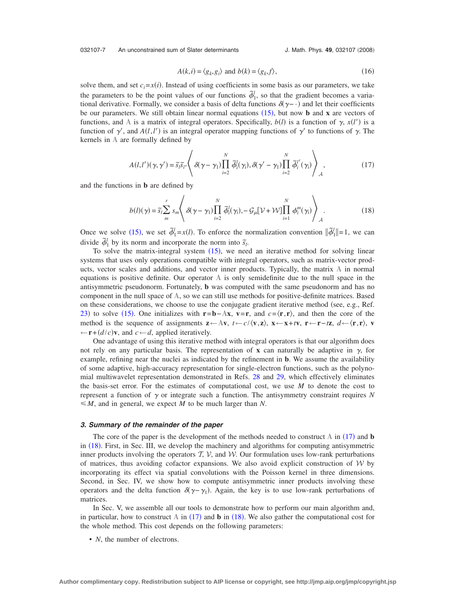032107-7 An unconstrained sum of Slater determinants

J. Math. Phys. 49, 032107 (2008)

$$
A(k,i) = \langle g_k, g_i \rangle \text{ and } b(k) = \langle g_k, f \rangle,
$$
\n(16)

solve them, and set  $c_i = x(i)$ . Instead of using coefficients in some basis as our parameters, we take the parameters to be the point values of our functions  $\tilde{\phi}_1^l$ , so that the gradient becomes a variational derivative. Formally, we consider a basis of delta functions  $\delta(\gamma - \cdot)$  and let their coefficients be our parameters. We still obtain linear normal equations ([15](#page-5-1)), but now **b** and **x** are vectors of functions, and A is a matrix of integral operators. Specifically,  $b(l)$  is a function of  $\gamma$ ,  $x(l')$  is a function of  $\gamma'$ , and  $A(l, l')$  is an integral operator mapping functions of  $\gamma'$  to functions of  $\gamma$ . The kernels in A are formally defined by

$$
A(l,l')(\gamma,\gamma') = \widetilde{s}_l \widetilde{s}_{l'} \left\langle \delta(\gamma - \gamma_1) \prod_{i=2}^N \widetilde{\phi}_i^l(\gamma_i), \delta(\gamma' - \gamma_1) \prod_{i=2}^N \widetilde{\phi}_i^{l'}(\gamma_i) \right\rangle_A, \qquad (17)
$$

<span id="page-6-1"></span><span id="page-6-0"></span>and the functions in **b** are defined by

$$
b(l)(\gamma) = \tilde{s}_l \sum_{m}^{r} s_m \left\{ \delta(\gamma - \gamma_l) \prod_{i=2}^{N} \tilde{\phi}_i^l(\gamma_i), -\mathcal{G}_{\mu}[\mathcal{V} + \mathcal{W}] \prod_{i=1}^{N} \phi_i^m(\gamma_i) \right\}.
$$
 (18)

Once we solve ([15](#page-5-1)), we set  $\tilde{\phi}_1^l = x(l)$ . To enforce the normalization convention  $\|\tilde{\phi}_1^l\| = 1$ , we can divide  $\tilde{\phi}_1^l$  by its norm and incorporate the norm into  $\tilde{s}_l$ .

To solve the matrix-integral system  $(15)$  $(15)$  $(15)$ , we need an iterative method for solving linear systems that uses only operations compatible with integral operators, such as matrix-vector products, vector scales and additions, and vector inner products. Typically, the matrix A in normal equations is positive definite. Our operator A is only semidefinite due to the null space in the antisymmetric pseudonorm. Fortunately, **b** was computed with the same pseudonorm and has no component in the null space of A, so we can still use methods for positive-definite matrices. Based on these considerations, we choose to use the conjugate gradient iterative method (see, e.g., Ref. [23](#page-26-21)) to solve ([15](#page-5-1)). One initializes with  $\mathbf{r} = \mathbf{b} - A\mathbf{x}$ ,  $\mathbf{v} = \mathbf{r}$ , and  $c = \langle \mathbf{r}, \mathbf{r} \rangle$ , and then the core of the method is the sequence of assignments  $z \leftarrow Av$ ,  $t \leftarrow c/\langle v, z \rangle$ ,  $x \leftarrow x + t v$ ,  $r \leftarrow r - t z$ ,  $d \leftarrow \langle r, r \rangle$ ,  $v$  $\leftarrow$  **r**+ $(d/c)$ **v**, and  $c \leftarrow d$ , applied iteratively.

One advantage of using this iterative method with integral operators is that our algorithm does not rely on any particular basis. The representation of **x** can naturally be adaptive in  $\gamma$ , for example, refining near the nuclei as indicated by the refinement in **b**. We assume the availability of some adaptive, high-accuracy representation for single-electron functions, such as the polynomial multiwavelet representation demonstrated in Refs. [28](#page-26-22) and [29,](#page-26-14) which effectively eliminates the basis-set error. For the estimates of computational cost, we use *M* to denote the cost to represent a function of  $\gamma$  or integrate such a function. The antisymmetry constraint requires N  $\leq M$ , and in general, we expect *M* to be much larger than *N*.

### *3. Summary of the remainder of the paper*

The core of the paper is the development of the methods needed to construct  $A$  in  $(17)$  $(17)$  $(17)$  and **b** in ([18](#page-6-1)). First, in Sec. III, we develop the machinery and algorithms for computing antisymmetric inner products involving the operators  $T$ ,  $V$ , and  $W$ . Our formulation uses low-rank perturbations of matrices, thus avoiding cofactor expansions. We also avoid explicit construction of  $W$  by incorporating its effect via spatial convolutions with the Poisson kernel in three dimensions. Second, in Sec. IV, we show how to compute antisymmetric inner products involving these operators and the delta function  $\delta(\gamma - \gamma_1)$ . Again, the key is to use low-rank perturbations of matrices.

In Sec. V, we assemble all our tools to demonstrate how to perform our main algorithm and, in particular, how to construct A in  $(17)$  $(17)$  $(17)$  and **b** in  $(18)$  $(18)$  $(18)$ . We also gather the computational cost for the whole method. This cost depends on the following parameters:

• *N*, the number of electrons.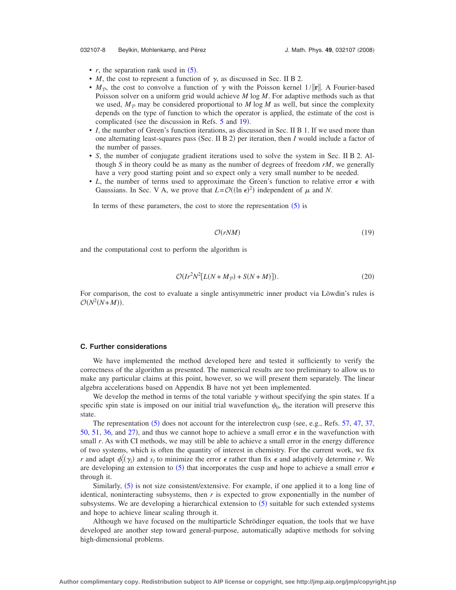- $r$ , the separation rank used in  $(5)$  $(5)$  $(5)$ .
- $M$ , the cost to represent a function of  $\gamma$ , as discussed in Sec. II B 2.
- $M_p$ , the cost to convolve a function of  $\gamma$  with the Poisson kernel  $1/\|\mathbf{r}\|$ . A Fourier-based Poisson solver on a uniform grid would achieve *M* log *M*. For adaptive methods such as that we used,  $M_p$  may be considered proportional to M log M as well, but since the complexity depends on the type of function to which the operator is applied, the estimate of the cost is complicated (see the discussion in Refs. [5](#page-26-15) and [19](#page-26-23)).
- *I*, the number of Green's function iterations, as discussed in Sec. II B 1. If we used more than one alternating least-squares pass (Sec. II B 2) per iteration, then *I* would include a factor of the number of passes.
- *S*, the number of conjugate gradient iterations used to solve the system in Sec. II B 2. Although *S* in theory could be as many as the number of degrees of freedom *rM*, we generally have a very good starting point and so expect only a very small number to be needed.
- L, the number of terms used to approximate the Green's function to relative error  $\epsilon$  with Gaussians. In Sec. V A, we prove that  $L = \mathcal{O}((\ln \epsilon)^2)$  independent of  $\mu$  and *N*.

In terms of these parameters, the cost to store the representation  $(5)$  $(5)$  $(5)$  is

$$
\mathcal{O}(rNM) \tag{19}
$$

and the computational cost to perform the algorithm is

$$
\mathcal{O}(Ir^2N^2[L(N+M_{\mathcal{P}})+S(N+M)]). \tag{20}
$$

For comparison, the cost to evaluate a single antisymmetric inner product via Löwdin's rules is  $\mathcal{O}(N^2(N+M)).$ 

### **C. Further considerations**

We have implemented the method developed here and tested it sufficiently to verify the correctness of the algorithm as presented. The numerical results are too preliminary to allow us to make any particular claims at this point, however, so we will present them separately. The linear algebra accelerations based on Appendix B have not yet been implemented.

We develop the method in terms of the total variable  $\gamma$  without specifying the spin states. If a specific spin state is imposed on our initial trial wavefunction  $\psi_0$ , the iteration will preserve this state.

The representation  $(5)$  $(5)$  $(5)$  does not account for the interelectron cusp (see, e.g., Refs. [57,](#page-27-15) [47,](#page-27-16) [37,](#page-27-17) [50,](#page-27-18) [51,](#page-27-19) [36,](#page-27-20) and [27](#page-26-24)), and thus we cannot hope to achieve a small error  $\epsilon$  in the wavefunction with small *r*. As with CI methods, we may still be able to achieve a small error in the energy difference of two systems, which is often the quantity of interest in chemistry. For the current work, we fix *r* and adapt  $\phi_i^l(\gamma_i)$  and  $s_l$  to minimize the error  $\epsilon$  rather than fix  $\epsilon$  and adaptively determine *r*. We are developing an extension to  $(5)$  $(5)$  $(5)$  that incorporates the cusp and hope to achieve a small error  $\epsilon$ through it.

Similarly, ([5](#page-2-3)) is not size consistent/extensive. For example, if one applied it to a long line of identical, noninteracting subsystems, then *r* is expected to grow exponentially in the number of subsystems. We are developing a hierarchical extension to  $(5)$  $(5)$  $(5)$  suitable for such extended systems and hope to achieve linear scaling through it.

Although we have focused on the multiparticle Schrödinger equation, the tools that we have developed are another step toward general-purpose, automatically adaptive methods for solving high-dimensional problems.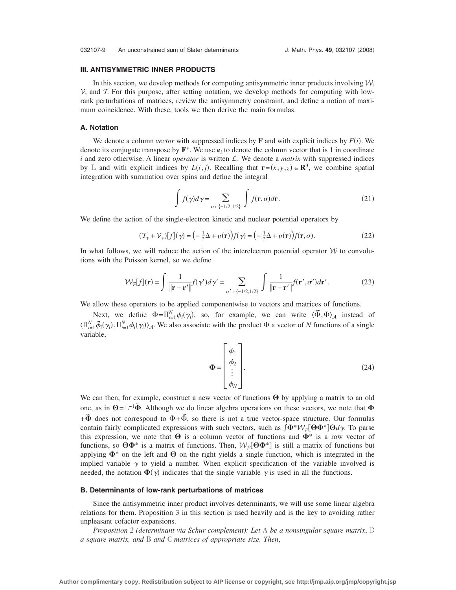# **III. ANTISYMMETRIC INNER PRODUCTS**

In this section, we develop methods for computing antisymmetric inner products involving  $W$ ,  $V$ , and T. For this purpose, after setting notation, we develop methods for computing with lowrank perturbations of matrices, review the antisymmetry constraint, and define a notion of maximum coincidence. With these, tools we then derive the main formulas.

### **A. Notation**

We denote a column *vector* with suppressed indices by  $\bf{F}$  and with explicit indices by  $F(i)$ . We denote its conjugate transpose by  $\mathbf{F}^*$ . We use  $\mathbf{e}_i$  to denote the column vector that is 1 in coordinate  $i$  and zero otherwise. A linear *operator* is written  $\mathcal{L}$ . We denote a *matrix* with suppressed indices by L and with explicit indices by  $L(i, j)$ . Recalling that  $\mathbf{r} = (x, y, z) \in \mathbb{R}^3$ , we combine spatial integration with summation over spins and define the integral

$$
\int f(\gamma)d\gamma = \sum_{\sigma \in \{-1/2, 1/2\}} \int f(\mathbf{r}, \sigma)d\mathbf{r}.
$$
 (21)

We define the action of the single-electron kinetic and nuclear potential operators by

$$
(\mathcal{T}_{*} + \mathcal{V}_{*})[f](\gamma) = \left(-\frac{1}{2}\Delta + v(\mathbf{r})\right)f(\gamma) = \left(-\frac{1}{2}\Delta + v(\mathbf{r})\right)f(\mathbf{r},\sigma). \tag{22}
$$

In what follows, we will reduce the action of the interelectron potential operator  $W$  to convolutions with the Poisson kernel, so we define

$$
\mathcal{W}_{\mathcal{P}}[f](\mathbf{r}) = \int \frac{1}{\|\mathbf{r} - \mathbf{r}'\|} f(\gamma') d\gamma' = \sum_{\sigma' \in \{-1/2, 1/2\}} \int \frac{1}{\|\mathbf{r} - \mathbf{r}'\|} f(\mathbf{r}', \sigma') d\mathbf{r}'. \tag{23}
$$

We allow these operators to be applied componentwise to vectors and matrices of functions.

<span id="page-8-0"></span>Next, we define  $\Phi = \prod_{i=1}^{N} \phi_i(\gamma_i)$ , so, for example, we can write  $\langle \tilde{\Phi}, \Phi \rangle_A$  instead of  $\langle \Pi_{i=1}^{N} \tilde{\phi}_i(\gamma_i), \Pi_{i=1}^{N} \phi_i(\gamma_i) \rangle_A$ . We also associate with the product  $\Phi$  a vector of *N* functions of a single variable,

$$
\Phi = \begin{bmatrix} \phi_1 \\ \phi_2 \\ \vdots \\ \phi_N \end{bmatrix} .
$$
 (24)

We can then, for example, construct a new vector of functions  $\Theta$  by applying a matrix to an old one, as in  $\Theta = L^{-1} \tilde{\Phi}$ . Although we do linear algebra operations on these vectors, we note that  $\Phi$  $+\widetilde{\Phi}$  does not correspond to  $\Phi+\widetilde{\Phi}$ , so there is not a true vector-space structure. Our formulas contain fairly complicated expressions with such vectors, such as  $\int \Phi^* \mathcal{W}_p[\Theta \Phi^*] \Theta d\gamma$ . To parse this expression, we note that  $\Theta$  is a column vector of functions and  $\Phi^*$  is a row vector of functions, so  $\Theta \Phi^*$  is a matrix of functions. Then,  $W_P[\Theta \Phi^*]$  is still a matrix of functions but applying  $\Phi^*$  on the left and  $\Theta$  on the right yields a single function, which is integrated in the implied variable  $\gamma$  to yield a number. When explicit specification of the variable involved is needed, the notation  $\Phi(\gamma)$  indicates that the single variable  $\gamma$  is used in all the functions.

### **B. Determinants of low-rank perturbations of matrices**

Since the antisymmetric inner product involves determinants, we will use some linear algebra relations for them. Proposition 3 in this section is used heavily and is the key to avoiding rather unpleasant cofactor expansions.

*Proposition 2 (determinant via Schur complement): Let* A *be a nonsingular square matrix*, D *a square matrix, and* B *and* C *matrices of appropriate size. Then*,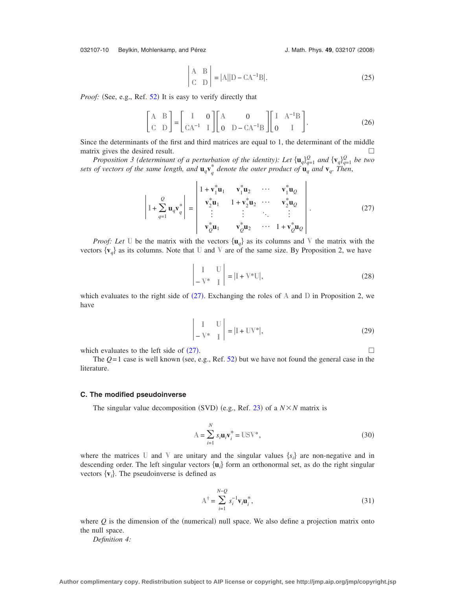032107-10 Beylkin, Mohlenkamp, and Pérez

J. Math. Phys. 49, 032107 (2008)

$$
\begin{vmatrix} A & B \\ C & D \end{vmatrix} = |A||D - CA^{-1}B|.
$$
 (25)

Proof: (See, e.g., Ref. [52](#page-27-21)) It is easy to verify directly that

$$
\begin{bmatrix} A & B \\ C & D \end{bmatrix} = \begin{bmatrix} I & 0 \\ CA^{-1} & I \end{bmatrix} \begin{bmatrix} A & 0 \\ 0 & D - CA^{-1}B \end{bmatrix} \begin{bmatrix} I & A^{-1}B \\ 0 & I \end{bmatrix}.
$$
 (26)

Since the determinants of the first and third matrices are equal to 1, the determinant of the middle matrix gives the desired result.

<span id="page-9-0"></span>*Proposition 3 (determinant of a perturbation of the identity): Let*  $\{u_q\}_{q=1}^Q$  and  $\{v_q\}_{q=1}^Q$  be two *sets of vectors of the same length, and*  $\mathbf{u}_q \mathbf{v}_q^*$  *denote the outer product of*  $\mathbf{u}_q$  *and*  $\mathbf{v}_q$ *. Then,* 

$$
\left| \mathbb{I} + \sum_{q=1}^{Q} \mathbf{u}_{q} \mathbf{v}_{q}^{*} \right| = \begin{vmatrix} 1 + \mathbf{v}_{1}^{*} \mathbf{u}_{1} & \mathbf{v}_{1}^{*} \mathbf{u}_{2} & \cdots & \mathbf{v}_{1}^{*} \mathbf{u}_{Q} \\ \mathbf{v}_{2}^{*} \mathbf{u}_{1} & 1 + \mathbf{v}_{2}^{*} \mathbf{u}_{2} & \cdots & \mathbf{v}_{2}^{*} \mathbf{u}_{Q} \\ \vdots & \vdots & \ddots & \vdots \\ \mathbf{v}_{Q}^{*} \mathbf{u}_{1} & \mathbf{v}_{Q}^{*} \mathbf{u}_{2} & \cdots & 1 + \mathbf{v}_{Q}^{*} \mathbf{u}_{Q} \end{vmatrix} . \tag{27}
$$

*Proof: Let* U be the matrix with the vectors  $\{u_q\}$  as its columns and V the matrix with the vectors  $\{v_q\}$  as its columns. Note that U and V are of the same size. By Proposition 2, we have

$$
\begin{vmatrix} I & U \\ -V^* & I \end{vmatrix} = |I + V^*U|,\tag{28}
$$

which evaluates to the right side of  $(27)$  $(27)$  $(27)$ . Exchanging the roles of A and D in Proposition 2, we have

$$
\begin{vmatrix} I & U \\ -V^* & I \end{vmatrix} = |I + UV^*|,\tag{29}
$$

which evaluates to the left side of  $(27)$  $(27)$  $(27)$ . .

The  $Q=1$  case is well known (see, e.g., Ref. [52](#page-27-21)) but we have not found the general case in the literature.

### <span id="page-9-1"></span>**C. The modified pseudoinverse**

The singular value decomposition (SVD) (e.g., Ref. [23](#page-26-21)) of a  $N \times N$  matrix is

$$
A = \sum_{i=1}^{N} s_i \mathbf{u}_i \mathbf{v}_i^* = USV^*,
$$
\n(30)

where the matrices U and V are unitary and the singular values  $\{s_i\}$  are non-negative and in descending order. The left singular vectors  $\{u_i\}$  form an orthonormal set, as do the right singular vectors  $\{v_i\}$ . The pseudoinverse is defined as

$$
\mathbf{A}^{\dagger} = \sum_{i=1}^{N-Q} s_i^{-1} \mathbf{v}_i \mathbf{u}_i^*,
$$
 (31)

where  $Q$  is the dimension of the (numerical) null space. We also define a projection matrix onto the null space.

*Definition 4:*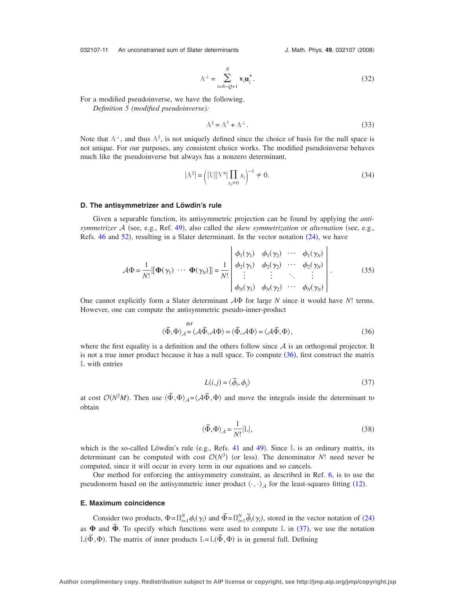032107-11 An unconstrained sum of Slater determinants

J. Math. Phys. 49, 032107 (2008)

$$
A^{\perp} = \sum_{i=N-Q+1}^{N} \mathbf{v}_i \mathbf{u}_i^*.
$$
 (32)

For a modified pseudoinverse, we have the following.

*Definition 5 (modified pseudoinverse):*

$$
A^{\ddagger} = A^{\dagger} + A^{\perp}.
$$
 (33)

Note that  $A^{\perp}$ , and thus  $A^{\ddagger}$ , is not uniquely defined since the choice of basis for the null space is not unique. For our purposes, any consistent choice works. The modified pseudoinverse behaves much like the pseudoinverse but always has a nonzero determinant,

$$
|\mathbf{A}^{\ddagger}| = \left(|\mathbf{U}||\mathbf{V}^*| \prod_{s_i \neq 0} s_i\right)^{-1} \neq 0. \tag{34}
$$

### **D. The antisymmetrizer and Löwdin's rule**

Given a separable function, its antisymmetric projection can be found by applying the *anti-*symmetrizer A (see, e.g., Ref. [49](#page-27-22)), also called the *skew symmetrization* or *alternation* (see, e.g., Refs. [46](#page-27-23) and [52](#page-27-21)), resulting in a Slater determinant. In the vector notation  $(24)$  $(24)$  $(24)$ , we have

$$
\mathcal{A}\Phi = \frac{1}{N!} [[\Phi(\gamma_1) \cdots \Phi(\gamma_N)]] = \frac{1}{N!} \begin{bmatrix} \phi_1(\gamma_1) & \phi_1(\gamma_2) & \cdots & \phi_1(\gamma_N) \\ \phi_2(\gamma_1) & \phi_2(\gamma_2) & \cdots & \phi_2(\gamma_N) \\ \vdots & \vdots & \ddots & \vdots \\ \phi_N(\gamma_1) & \phi_N(\gamma_2) & \cdots & \phi_N(\gamma_N) \end{bmatrix} .
$$
 (35)

One cannot explicitly form a Slater determinant  $\mathcal{A}\Phi$  for large *N* since it would have *N*! terms. However, one can compute the antisymmetric pseudo-inner-product

$$
\langle \tilde{\Phi}, \Phi \rangle_{\mathcal{A}} = \langle \mathcal{A}\tilde{\Phi}, \mathcal{A}\Phi \rangle = \langle \tilde{\Phi}, \mathcal{A}\Phi \rangle = \langle \mathcal{A}\tilde{\Phi}, \Phi \rangle, \tag{36}
$$

<span id="page-10-0"></span>where the first equality is a definition and the others follow since  $A$  is an orthogonal projector. It is not a true inner product because it has a null space. To compute ([36](#page-10-0)), first construct the matrix L with entries

$$
L(i,j) = \langle \tilde{\phi}_i, \phi_j \rangle \tag{37}
$$

<span id="page-10-1"></span>at cost  $\mathcal{O}(N^2M)$ . Then use  $\langle \tilde{\Phi}, \Phi \rangle_A = \langle \mathcal{A} \tilde{\Phi}, \Phi \rangle$  and move the integrals inside the determinant to obtain

$$
\langle \tilde{\Phi}, \Phi \rangle_{\mathcal{A}} = \frac{1}{N!} |\mathbb{L}|, \tag{38}
$$

<span id="page-10-2"></span>which is the so-called Löwdin's rule (e.g., Refs. [41](#page-27-24) and [49](#page-27-22)). Since  $L$  is an ordinary matrix, its determinant can be computed with cost  $O(N^3)$  (or less). The denominator *N*! need never be computed, since it will occur in every term in our equations and so cancels.

Our method for enforcing the antisymmetry constraint, as described in Ref. [6,](#page-26-1) is to use the pseudonorm based on the antisymmetric inner product  $\langle \cdot, \cdot \rangle_A$  for the least-squares fitting ([12](#page-5-0)).

### **E. Maximum coincidence**

Consider two products,  $\Phi = \prod_{i=1}^{N} \phi_i(\gamma_i)$  and  $\tilde{\Phi} = \prod_{i=1}^{N} \tilde{\phi}_i(\gamma_i)$ , stored in the vector notation of ([24](#page-8-0)) as  $\Phi$  and  $\tilde{\Phi}$ . To specify which functions were used to compute L in ([37](#page-10-1)), we use the notation L( $\tilde{\Phi}$ , $\Phi$ ). The matrix of inner products L=L( $\tilde{\Phi}$ , $\Phi$ ) is in general full. Defining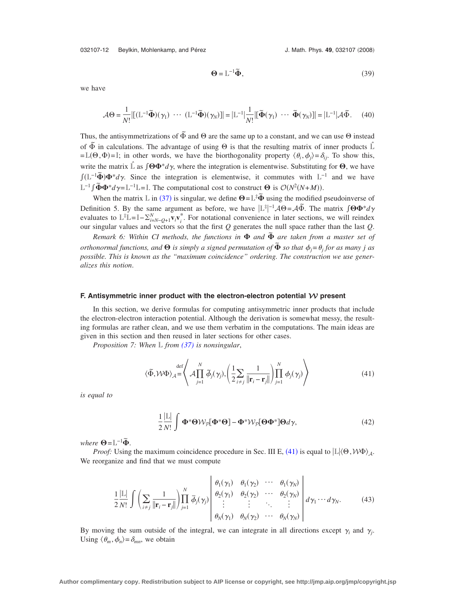032107-12 Beylkin, Mohlenkamp, and Pérez

J. Math. Phys. 49, 032107 (2008)

$$
\Theta = \mathbb{L}^{-1} \widetilde{\Phi},\tag{39}
$$

we have

$$
\mathcal{A}\Theta = \frac{1}{N!} \left[ \left( \mathbb{L}^{-1} \tilde{\Phi} \right) (\gamma_1) \cdots \left( \mathbb{L}^{-1} \tilde{\Phi} \right) (\gamma_N) \right] \right] = \left| \mathbb{L}^{-1} \right| \frac{1}{N!} \left[ \tilde{\Phi}(\gamma_1) \cdots \tilde{\Phi}(\gamma_N) \right] \right| = \left| \mathbb{L}^{-1} \right| \mathcal{A}\tilde{\Phi}.
$$
 (40)

Thus, the antisymmetrizations of  $\tilde{\Phi}$  and  $\Theta$  are the same up to a constant, and we can use  $\Theta$  instead of  $\Phi$  in calculations. The advantage of using  $\Theta$  is that the resulting matrix of inner products  $\hat{L}$ =L( $\Theta$ , $\Phi$ )=I; in other words, we have the biorthogonality property  $\langle \theta_i, \phi_j \rangle = \delta_{ij}$ . To show this, write the matrix  $\hat{\mathbf{L}}$  as  $\int \mathbf{\Theta} \Phi^* d\gamma$ , where the integration is elementwise. Substituting for  $\mathbf{\Theta}$ , we have  $\int (L^{-1}\tilde{\Phi})\Phi^* d\gamma$ . Since the integration is elementwise, it commutes with  $L^{-1}$  and we have  $L^{-1} \int \tilde{\Phi} \Phi^* d\gamma = L^{-1}L = I$ . The computational cost to construct  $\Theta$  is  $\mathcal{O}(N^2(N+M))$ .

When the matrix L in ([37](#page-10-1)) is singular, we define  $\Theta = \mathbb{L}^{\ddagger} \tilde{\Phi}$  using the modified pseudoinverse of Definition 5. By the same argument as before, we have  $|L^{\frac{1}{2}}|^{-1}A\Theta = A\tilde{\Phi}$ . The matrix  $\int \Theta \Phi^* d\gamma$ evaluates to  $L^{\frac{1}{2}}L = I - \sum_{i=N-Q+1}^{N} \mathbf{v}_i \mathbf{v}_i^*$ . For notational convenience in later sections, we will reindex our singular values and vectors so that the first *Q* generates the null space rather than the last *Q*.

*Remark 6: Within CI methods, the functions in*  $\Phi$  *and*  $\tilde{\Phi}$  *are taken from a master set of orthonormal functions, and*  $\Theta$  *is simply a signed permutation of*  $\tilde{\Phi}$  *so that*  $\phi_j = \theta_j$  *for as many j as possible. This is known as the "maximum coincidence" ordering. The construction we use generalizes this notion*.

### **F. Antisymmetric inner product with the electron-electron potential** *W* **present**

In this section, we derive formulas for computing antisymmetric inner products that include the electron-electron interaction potential. Although the derivation is somewhat messy, the resulting formulas are rather clean, and we use them verbatim in the computations. The main ideas are given in this section and then reused in later sections for other cases.

*Proposition 7: When* L *from [\(37\)](#page-10-1) is nonsingular*,

$$
\langle \tilde{\Phi}, \mathcal{W}\Phi \rangle_{\mathcal{A}} = \left\langle \mathcal{A} \prod_{j=1}^{N} \tilde{\phi}_{j}(\gamma_{j}), \left( \frac{1}{2} \sum_{i \neq j} \frac{1}{\|\mathbf{r}_{i} - \mathbf{r}_{j}\|} \right) \prod_{j=1}^{N} \phi_{j}(\gamma_{j}) \right\rangle
$$
(41)

<span id="page-11-1"></span><span id="page-11-0"></span>*is equal to*

$$
\frac{1}{2}\frac{|\mathbf{L}|}{N!} \int \mathbf{\Phi}^* \mathbf{\Theta} \mathcal{W}_p[\mathbf{\Phi}^* \mathbf{\Theta}] - \mathbf{\Phi}^* \mathcal{W}_p[\mathbf{\Theta} \mathbf{\Phi}^*] \mathbf{\Theta} d\gamma, \tag{42}
$$

 $where \space \Theta = \mathbb{L}^{-1} \widetilde{\Phi}.$ 

*Proof:* Using the maximum coincidence procedure in Sec. III E, ([41](#page-11-0)) is equal to  $|L| \langle \Theta, W\Phi \rangle_A$ . We reorganize and find that we must compute

$$
\frac{1}{2}\frac{|\mathbf{L}|}{N!}\int \left(\sum_{i\neq j}\frac{1}{\|\mathbf{r}_i-\mathbf{r}_j\|}\right)\prod_{j=1}^N\bar{\phi}_j(\gamma_j)\left(\begin{array}{cccc}\theta_1(\gamma_1) & \theta_1(\gamma_2) & \cdots & \theta_1(\gamma_N) \\
\theta_2(\gamma_1) & \theta_2(\gamma_2) & \cdots & \theta_2(\gamma_N) \\
\vdots & \vdots & \ddots & \vdots \\
\theta_N(\gamma_1) & \theta_N(\gamma_2) & \cdots & \theta_N(\gamma_N)\end{array}\right)d\gamma_1\cdots d\gamma_N.
$$
\n(43)

By moving the sum outside of the integral, we can integrate in all directions except  $\gamma_i$  and  $\gamma_j$ . Using  $\langle \theta_m, \phi_n \rangle = \delta_{mn}$ , we obtain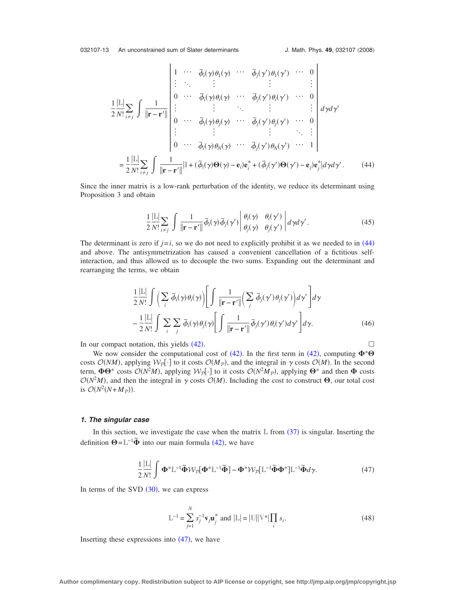<span id="page-12-0"></span>032107-13 An unconstrained sum of Slater determinants.

ï

 $\mathbf{r}$ 

$$
\frac{1}{2} \frac{|\mathbf{L}|}{N!} \sum_{i \neq j} \int \frac{1}{\|\mathbf{r} - \mathbf{r}'\|} \begin{vmatrix} \mathbf{1} & \cdots & \overline{\phi}_i(\gamma) \theta_1(\gamma) & \cdots & \overline{\phi}_j(\gamma') \theta_1(\gamma') & \cdots & 0 \\ \vdots & \ddots & \vdots & & \vdots & & \vdots \\ 0 & \cdots & \overline{\phi}_i(\gamma) \theta_i(\gamma) & \cdots & \overline{\phi}_j(\gamma') \theta_i(\gamma') & \cdots & 0 \\ \vdots & \vdots & \ddots & & \vdots & & \vdots \\ 0 & \cdots & \overline{\phi}_i(\gamma) \theta_j(\gamma) & \cdots & \overline{\phi}_j(\gamma') \theta_j(\gamma') & \cdots & 0 \\ \vdots & & \vdots & & \vdots & & \vdots \\ 0 & \cdots & \overline{\phi}_i(\gamma) \theta_N(\gamma) & \cdots & \overline{\phi}_j(\gamma') \theta_N(\gamma') & \cdots & 1 \\ \vdots & & & \vdots & & \vdots \\ 0 & \cdots & \overline{\phi}_i(\gamma) \theta_N(\gamma) & \cdots & \overline{\phi}_j(\gamma') \theta_N(\gamma') & \cdots & 1 \end{vmatrix}
$$
\n
$$
= \frac{1}{2} \frac{|\mathbf{L}|}{N!} \sum_{i \neq j} \int \frac{1}{\|\mathbf{r} - \mathbf{r}'\|} |\mathbf{I} + (\overline{\phi}_i(\gamma) \mathbf{\Theta}(\gamma) - \mathbf{e}_i) \mathbf{e}_i^* + (\overline{\phi}_j(\gamma') \mathbf{\Theta}(\gamma') - \mathbf{e}_j) \mathbf{e}_j^*| d\gamma d\gamma'.
$$
 (44)

Since the inner matrix is a low-rank perturbation of the identity, we reduce its determinant using Proposition 3 and obtain

$$
\frac{1}{2}\frac{|\mathbb{L}|}{N!}\sum_{i\neq j}\int \frac{1}{\|\mathbf{r}-\mathbf{r}'\|}\overline{\phi}_i(\gamma)\overline{\phi}_j(\gamma')\begin{vmatrix}\theta_i(\gamma) & \theta_i(\gamma')\\ \theta_j(\gamma) & \theta_j(\gamma')\end{vmatrix}d\gamma d\gamma'.
$$
\n(45)

The determinant is zero if  $j=i$ , so we do not need to explicitly prohibit it as we needed to in ([44](#page-12-0)) and above. The antisymmetrization has caused a convenient cancellation of a fictitious selfinteraction, and thus allowed us to decouple the two sums. Expanding out the determinant and rearranging the terms, we obtain

$$
\frac{1}{2}\frac{|\mathbb{L}|}{N!}\int \left(\sum_{i} \overline{\phi}_{i}(\gamma)\theta_{i}(\gamma)\right) \left[\int \frac{1}{\|\mathbf{r} - \mathbf{r}'\|} \left(\sum_{j} \overline{\phi}_{j}(\gamma')\theta_{j}(\gamma')\right) d\gamma'\right] d\gamma \n- \frac{1}{2}\frac{|\mathbb{L}|}{N!}\int \sum_{i} \sum_{j} \overline{\phi}_{i}(\gamma)\theta_{j}(\gamma)\left[\int \frac{1}{\|\mathbf{r} - \mathbf{r}'\|} \overline{\phi}_{j}(\gamma')\theta_{i}(\gamma')d\gamma'\right] d\gamma.
$$
\n(46)

In our compact notation, this yields  $(42)$  $(42)$  $(42)$ . .

We now consider the computational cost of ([42](#page-11-1)). In the first term in (42), computing  $\Phi^*\Theta$ costs  $O(NM)$ , applying  $W_p[\cdot]$  to it costs  $O(M_p)$ , and the integral in  $\gamma$  costs  $O(M)$ . In the second term,  $\Phi \Theta^*$  costs  $O(N^2M)$ , applying  $W_p[\cdot]$  to it costs  $O(N^2M_p)$ , applying  $\Theta^*$  and then  $\Phi$  costs  $O(N^2M)$ , and then the integral in  $\gamma$  costs  $O(M)$ . Including the cost to construct  $\Theta$ , our total cost is  $\mathcal{O}(N^2(N+M_p)).$ 

### *1. The singular case*

In this section, we investigate the case when the matrix  $L$  from  $(37)$  $(37)$  $(37)$  is singular. Inserting the definition  $\Theta = L^{-1} \tilde{\Phi}$  into our main formula ([42](#page-11-1)), we have

$$
\frac{1}{2}\frac{|\mathbf{L}|}{N!}\int \mathbf{\Phi}^*\mathbf{L}^{-1}\tilde{\mathbf{\Phi}}\mathcal{W}_p[\mathbf{\Phi}^*\mathbf{L}^{-1}\tilde{\mathbf{\Phi}}] - \mathbf{\Phi}^*\mathcal{W}_p[\mathbf{L}^{-1}\tilde{\mathbf{\Phi}}\mathbf{\Phi}^*\mathbf{L}^{-1}\tilde{\mathbf{\Phi}}d\gamma. \tag{47}
$$

In terms of the SVD  $(30)$  $(30)$  $(30)$ , we can express

$$
\mathbb{L}^{-1} = \sum_{j=1}^{N} s_j^{-1} \mathbf{v}_j \mathbf{u}_j^* \text{ and } |\mathbb{L}| = |\mathbb{U}| |\mathbb{V}^*| \prod_i s_i.
$$
 (48)

Inserting these expressions into  $(47)$  $(47)$  $(47)$ , we have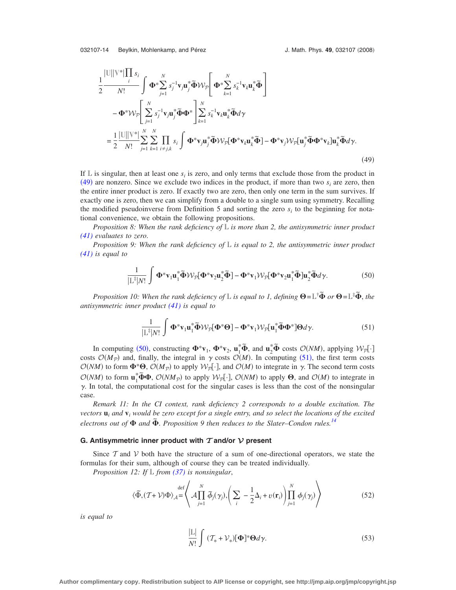<span id="page-13-0"></span>
$$
\frac{1}{2} \frac{|\mathbf{U}||\mathbf{V}^*|\prod_{i} s_i}{N!} \int \Phi^* \sum_{j=1}^N s_j^{-1} \mathbf{v}_j \mathbf{u}_j^* \widetilde{\Phi} \mathcal{W}_p \left[ \Phi^* \sum_{k=1}^N s_k^{-1} \mathbf{v}_k \mathbf{u}_k^* \widetilde{\Phi} \right] \n- \Phi^* \mathcal{W}_p \left[ \sum_{j=1}^N s_j^{-1} \mathbf{v}_j \mathbf{u}_j^* \widetilde{\Phi} \Phi^* \right] \sum_{k=1}^N s_k^{-1} \mathbf{v}_k \mathbf{u}_k^* \widetilde{\Phi} d\gamma \n= \frac{1}{2} \frac{|\mathbf{U}||\mathbf{V}^*|}{N!} \sum_{j=1}^N \sum_{k=1}^N \prod_{i \neq j,k} s_i \int \Phi^* \mathbf{v}_j \mathbf{u}_j^* \widetilde{\Phi} \mathcal{W}_p [\Phi^* \mathbf{v}_k \mathbf{u}_k^* \widetilde{\Phi}] - \Phi^* \mathbf{v}_j \mathcal{W}_p [\mathbf{u}_j^* \widetilde{\Phi} \Phi^* \mathbf{v}_k] \mathbf{u}_k^* \widetilde{\Phi} d\gamma.
$$
\n(49)

If  $\mathbb L$  is singular, then at least one  $s_i$  is zero, and only terms that exclude those from the product in  $(49)$  $(49)$  $(49)$  are nonzero. Since we exclude two indices in the product, if more than two  $s_i$  are zero, then the entire inner product is zero. If exactly two are zero, then only one term in the sum survives. If exactly one is zero, then we can simplify from a double to a single sum using symmetry. Recalling the modified pseudoinverse from Definition 5 and sorting the zero  $s_i$  to the beginning for notational convenience, we obtain the following propositions.

*Proposition 8: When the rank deficiency of* L *is more than 2, the antisymmetric inner product [\(41\)](#page-11-0) evaluates to zero*.

<span id="page-13-1"></span>*Proposition 9: When the rank deficiency of* L *is equal to 2, the antisymmetric inner product [\(41\)](#page-11-0) is equal to*

$$
\frac{1}{|\mathbb{L}^{\ddagger}|N!} \int \Phi^* \mathbf{v}_1 \mathbf{u}_1^* \widetilde{\Phi} \mathcal{W}_p[\Phi^* \mathbf{v}_2 \mathbf{u}_2^* \widetilde{\Phi}] - \Phi^* \mathbf{v}_1 \mathcal{W}_p[\Phi^* \mathbf{v}_2 \mathbf{u}_1^* \widetilde{\Phi}] \mathbf{u}_2^* \widetilde{\Phi} d\gamma. \tag{50}
$$

*Proposition 10: When the rank deficiency of* L is equal to 1, defining  $\Theta = L^{\dagger} \widetilde{\Phi}$  or  $\Theta = L^{\ddagger} \widetilde{\Phi}$ , the *antisymmetric inner product [\(41\)](#page-11-0) is equal to*

$$
\frac{1}{|\mathbf{L}^{\ddagger}|N!} \int \Phi^* \mathbf{v}_1 \mathbf{u}_1^* \widetilde{\Phi} \mathcal{W}_P[\Phi^* \Theta] - \Phi^* \mathbf{v}_1 \mathcal{W}_P[\mathbf{u}_1^* \widetilde{\Phi} \Phi^*] \Theta d\gamma. \tag{51}
$$

<span id="page-13-2"></span>In computing ([50](#page-13-1)), constructing  $\Phi^* \mathbf{v}_1$ ,  $\Phi^* \mathbf{v}_2$ ,  $\mathbf{u}_1^* \widetilde{\Phi}$ , and  $\mathbf{u}_2^* \widetilde{\Phi}$  costs  $\mathcal{O}(NM)$ , applying  $\mathcal{W}_p[\cdot]$ costs  $O(M_p)$  and, finally, the integral in  $\gamma$  costs  $O(M)$ . In computing ([51](#page-13-2)), the first term costs  $\mathcal{O}(NM)$  to form  $\Phi^*\Theta$ ,  $\mathcal{O}(M_p)$  to apply  $\mathcal{W}_p[\cdot]$ , and  $\mathcal{O}(M)$  to integrate in  $\gamma$ . The second term costs  $\mathcal{O}(NM)$  to form  $\mathbf{u}_1^* \mathbf{\Phi} \mathbf{\Phi}$ ,  $\mathcal{O}(NM_p)$  to apply  $\mathcal{W}_p[\cdot]$ ,  $\mathcal{O}(NM)$  to apply  $\mathbf{\Theta}$ , and  $\mathcal{O}(M)$  to integrate in  $\gamma$ . In total, the computational cost for the singular cases is less than the cost of the nonsingular case.

*Remark 11: In the CI context, rank deficiency 2 corresponds to a double excitation. The vectors* **u***<sup>i</sup> and* **v***<sup>i</sup> would be zero except for a single entry, and so select the locations of the excited electrons out of*  $\Phi$  *and*  $\tilde{\Phi}$ *. Proposition* 9 *then reduces to the Slater–Condon rules.*<sup>14</sup>

### **G. Antisymmetric inner product with** *T* **and/or** *V* **present**

Since  $T$  and  $V$  both have the structure of a sum of one-directional operators, we state the formulas for their sum, although of course they can be treated individually.

*Proposition 12: If* L *from [\(37\)](#page-10-1) is nonsingular*,

$$
\langle \tilde{\Phi}, (\mathcal{T} + \mathcal{V}) \Phi \rangle_{\mathcal{A}} = \left\langle \mathcal{A} \prod_{j=1}^{N} \tilde{\phi}_{j}(\gamma_{j}), \left( \sum_{i} -\frac{1}{2} \Delta_{i} + v(\mathbf{r}_{i}) \right) \prod_{j=1}^{N} \phi_{j}(\gamma_{j}) \right\rangle
$$
(52)

<span id="page-13-4"></span><span id="page-13-3"></span>*is equal to*

$$
\frac{|\mathcal{L}|}{N!} \int (\mathcal{T}_{*} + \mathcal{V}_{*})[\Phi]^{*} \Theta d\gamma.
$$
 (53)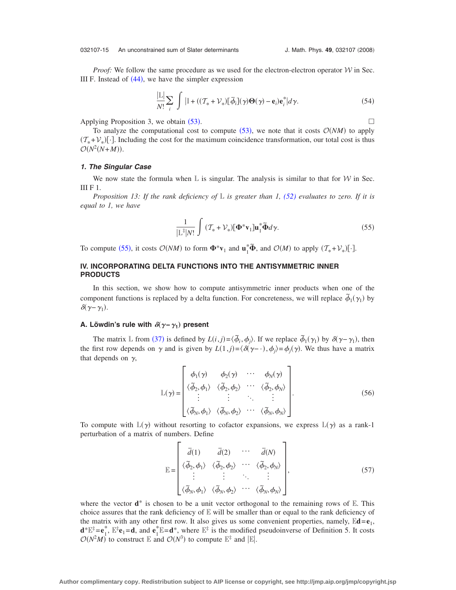*Proof:* We follow the same procedure as we used for the electron-electron operator  $W$  in Sec. III F. Instead of  $(44)$  $(44)$  $(44)$ , we have the simpler expression

$$
\frac{|\mathcal{L}|}{N!} \sum_{i} \int |\mathbb{I} + ((\mathcal{T}_{*} + \mathcal{V}_{*})[\overline{\phi}_{i}](\gamma) \Theta(\gamma) - \mathbf{e}_{i}) \mathbf{e}_{i}^{*}| d\gamma. \tag{54}
$$

Applying Proposition 3, we obtain  $(53)$  $(53)$  $(53)$ . .

To analyze the computational cost to compute  $(53)$  $(53)$  $(53)$ , we note that it costs  $O(NM)$  to apply  $(T_* + V_*)[.]$ . Including the cost for the maximum coincidence transformation, our total cost is thus  $\mathcal{O}(N^2(N+M)).$ 

### *1. The Singular Case*

We now state the formula when L is singular. The analysis is similar to that for  $W$  in Sec. III F 1.

<span id="page-14-0"></span>*Proposition 13: If the rank deficiency of* L *is greater than 1, [\(52\)](#page-13-4) evaluates to zero. If it is equal to 1, we have*

$$
\frac{1}{|\mathcal{L}^{\ddagger}|N!} \int (\mathcal{T}_{*} + \mathcal{V}_{*}) [\mathbf{\Phi}^{*} \mathbf{v}_{1}] \mathbf{u}_{1}^{*} \widetilde{\mathbf{\Phi}} d\gamma.
$$
 (55)

To compute ([55](#page-14-0)), it costs  $O(NM)$  to form  $\Phi^* \mathbf{v}_1$  and  $\mathbf{u}_1^* \widetilde{\Phi}$ , and  $O(M)$  to apply  $(\mathcal{T}_* + \mathcal{V}_*)[\cdot]$ .

# **IV. INCORPORATING DELTA FUNCTIONS INTO THE ANTISYMMETRIC INNER PRODUCTS**

In this section, we show how to compute antisymmetric inner products when one of the component functions is replaced by a delta function. For concreteness, we will replace  $\tilde{\phi}_1(\gamma_1)$  by  $\delta(\gamma-\gamma_1)$ .

### **A. Löwdin's rule with**  $\delta(\gamma - \gamma_1)$  **present**

<span id="page-14-1"></span>The matrix L from ([37](#page-10-1)) is defined by  $L(i, j) = \langle \phi_i, \phi_j \rangle$ . If we replace  $\phi_1(\gamma_1)$  by  $\delta(\gamma - \gamma_1)$ , then the first row depends on  $\gamma$  and is given by  $L(1,j) = \langle \delta(\gamma - \cdot), \phi_j \rangle = \phi_j(\gamma)$ . We thus have a matrix that depends on  $\gamma$ ,

$$
\mathbb{L}(\gamma) = \begin{bmatrix} \phi_1(\gamma) & \phi_2(\gamma) & \cdots & \phi_N(\gamma) \\ \langle \tilde{\phi}_2, \phi_1 \rangle & \langle \tilde{\phi}_2, \phi_2 \rangle & \cdots & \langle \tilde{\phi}_2, \phi_N \rangle \\ \vdots & \vdots & \ddots & \vdots \\ \langle \tilde{\phi}_N, \phi_1 \rangle & \langle \tilde{\phi}_N, \phi_2 \rangle & \cdots & \langle \tilde{\phi}_N, \phi_N \rangle \end{bmatrix} .
$$
 (56)

<span id="page-14-2"></span>To compute with  $L(\gamma)$  without resorting to cofactor expansions, we express  $L(\gamma)$  as a rank-1 perturbation of a matrix of numbers. Define

$$
\mathbb{E} = \begin{bmatrix} \overline{d}(1) & \overline{d}(2) & \cdots & \overline{d}(N) \\ \langle \widetilde{\phi}_2, \phi_1 \rangle & \langle \widetilde{\phi}_2, \phi_2 \rangle & \cdots & \langle \widetilde{\phi}_2, \phi_N \rangle \\ \vdots & \vdots & \ddots & \vdots \\ \langle \widetilde{\phi}_N, \phi_1 \rangle & \langle \widetilde{\phi}_N, \phi_2 \rangle & \cdots & \langle \widetilde{\phi}_N, \phi_N \rangle \end{bmatrix},
$$
(57)

where the vector  $\mathbf{d}^*$  is chosen to be a unit vector orthogonal to the remaining rows of E. This choice assures that the rank deficiency of  $E$  will be smaller than or equal to the rank deficiency of the matrix with any other first row. It also gives us some convenient properties, namely,  $Ed = e_1$ ,  $\mathbf{d}^* \mathbb{E}^{\ddagger} = \mathbf{e}_1^*$ ,  $\mathbb{E}^{\ddagger} \mathbf{e}_1 = \mathbf{d}$ , and  $\mathbf{e}_1^* \mathbb{E} = \mathbf{d}^*$ , where  $\mathbb{E}^{\ddagger}$  is the modified pseudoinverse of Definition 5. It costs  $O(N^2M)$  to construct E and  $O(N^3)$  to compute E<sup>‡</sup> and |E|.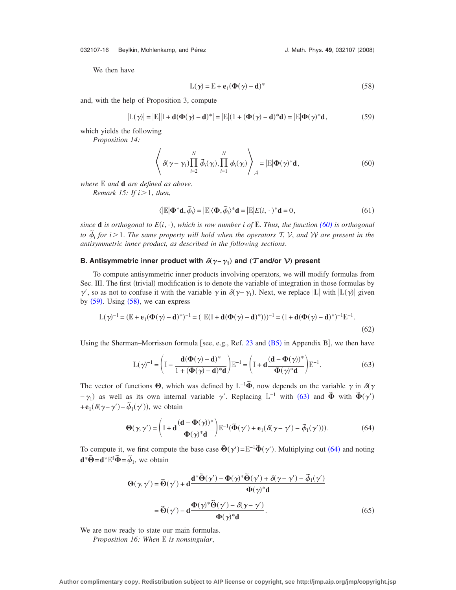032107-16 Beylkin, Mohlenkamp, and Pérez

We then have

$$
\mathbb{L}(\gamma) = \mathbb{E} + \mathbf{e}_1(\Phi(\gamma) - \mathbf{d})^*
$$
 (58)

<span id="page-15-2"></span><span id="page-15-1"></span>and, with the help of Proposition 3, compute

$$
|\mathbb{L}(\gamma)| = |\mathbb{E}||\mathbb{I} + \mathbf{d}(\Phi(\gamma) - \mathbf{d})^*| = |\mathbb{E}|(1 + (\Phi(\gamma) - \mathbf{d})^* \mathbf{d}) = |\mathbb{E}|\Phi(\gamma)^* \mathbf{d},\tag{59}
$$

<span id="page-15-0"></span>which yields the following

*Proposition 14:*

$$
\left\langle \delta(\gamma - \gamma_1) \prod_{i=2}^N \tilde{\phi}_i(\gamma_i), \prod_{i=1}^N \phi_i(\gamma_i) \right\rangle_{\mathcal{A}} = |\mathbb{E}| \Phi(\gamma)^* \mathbf{d}, \tag{60}
$$

*where* E *and* **d** *are defined as above*.

*Remark 15: If*  $i > 1$ *, then,* 

$$
\langle \left| \mathbb{E} \right| \mathbf{\Phi}^* \mathbf{d}, \widetilde{\boldsymbol{\phi}}_i \rangle = \left| \mathbb{E} \right| \langle \mathbf{\Phi}, \widetilde{\boldsymbol{\phi}}_i \rangle^* \mathbf{d} = \left| \mathbb{E} \right| E(i, \cdot)^* \mathbf{d} = 0, \tag{61}
$$

 $since \, d$  *is orthogonal to*  $E(i, \cdot)$ , *which is row number i of*  $E$ . *Thus, the function* [\(60\)](#page-15-0) *is orthogonal*  $\tilde{\phi}_i$  *for i* > 1. *The same property will hold when the operators*  $T$ ,  $V$ , *and*  $W$  *are present in the antisymmetric inner product, as described in the following sections*.

# **B. Antisymmetric inner product with**  $\delta(\gamma - \gamma_1)$  and  $(T \text{ and/or } V)$  present

To compute antisymmetric inner products involving operators, we will modify formulas from Sec. III. The first (trivial) modification is to denote the variable of integration in those formulas by  $\gamma'$ , so as not to confuse it with the variable  $\gamma$  in  $\delta(\gamma - \gamma_1)$ . Next, we replace  $|L|$  with  $|L(\gamma)|$  given by  $(59)$  $(59)$  $(59)$ . Using  $(58)$  $(58)$  $(58)$ , we can express

$$
L(\gamma)^{-1} = (E + e_1(\Phi(\gamma) - d)^*)^{-1} = (E(I + d(\Phi(\gamma) - d)^*))^{-1} = (I + d(\Phi(\gamma) - d)^*)^{-1}E^{-1}.
$$
\n(62)

Using the Sherman–Morrisson formula [see, e.g., Ref.  $23$  and  $(B5)$  $(B5)$  $(B5)$  in Appendix B], we then have

$$
\mathbb{L}(\gamma)^{-1} = \left(\mathbb{I} - \frac{\mathbf{d}(\Phi(\gamma) - \mathbf{d})^*}{1 + (\Phi(\gamma) - \mathbf{d})^* \mathbf{d}}\right) \mathbb{E}^{-1} = \left(\mathbb{I} + \mathbf{d}\frac{(\mathbf{d} - \Phi(\gamma))^*}{\Phi(\gamma)^* \mathbf{d}}\right) \mathbb{E}^{-1}.
$$
 (63)

The vector of functions  $\Theta$ , which was defined by L<sup>-1</sup> $\tilde{\Phi}$ , now depends on the variable  $\gamma$  in  $\delta(\gamma)$  $-\gamma_1$ ) as well as its own internal variable  $\gamma'$ . Replacing L<sup>-1</sup> with [63](#page-15-2)) and  $\tilde{\Phi}$  with  $\tilde{\Phi}(\gamma')$  $+ \mathbf{e}_1(\delta(\gamma-\gamma')-\tilde{\phi}_1(\gamma'))$ , we obtain

$$
\Theta(\gamma, \gamma') = \left( \mathbb{I} + \mathbf{d} \frac{(\mathbf{d} - \Phi(\gamma))^*}{\Phi(\gamma)^* \mathbf{d}} \right) \mathbb{E}^{-1} (\widetilde{\Phi}(\gamma') + \mathbf{e}_1(\delta(\gamma - \gamma') - \widetilde{\phi}_1(\gamma'))). \tag{64}
$$

<span id="page-15-4"></span><span id="page-15-3"></span>To compute it, we first compute the base case  $\tilde{\Theta}(\gamma') = \mathbb{E}^{-1} \tilde{\Phi}(\gamma')$ . Multiplying out ([64](#page-15-3)) and noting  $\mathbf{d}^*\widetilde{\mathbf{\Theta}} = \mathbf{d}^*\mathbb{E}^{\ddagger}\widetilde{\mathbf{\Phi}} = \widetilde{\phi}_1$ , we obtain

$$
\Theta(\gamma, \gamma') = \widetilde{\Theta}(\gamma') + d \frac{d^* \widetilde{\Theta}(\gamma') - \Phi(\gamma)^* \widetilde{\Theta}(\gamma') + \delta(\gamma - \gamma') - \widetilde{\phi}_1(\gamma')}{\Phi(\gamma)^* d}
$$
  
= 
$$
\widetilde{\Theta}(\gamma') - d \frac{\Phi(\gamma)^* \widetilde{\Theta}(\gamma') - \delta(\gamma - \gamma')}{\Phi(\gamma)^* d}.
$$
 (65)

We are now ready to state our main formulas.

*Proposition 16: When* E *is nonsingular*,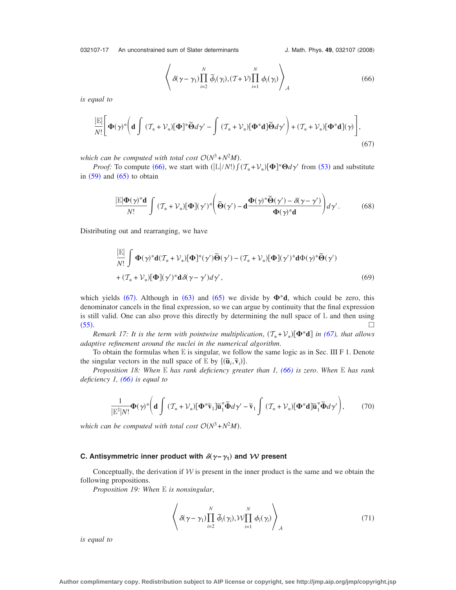<span id="page-16-0"></span>032107-17 An unconstrained sum of Slater determinants

J. Math. Phys. 49, 032107 (2008)

$$
\left\langle \delta(\gamma - \gamma_1) \prod_{i=2}^N \widetilde{\phi}_i(\gamma_i), (T + V) \prod_{i=1}^N \phi_i(\gamma_i) \right\rangle_{\mathcal{A}}
$$
\n(66)

<span id="page-16-1"></span>*is equal to*

$$
\frac{|\mathbb{E}|}{N!} \Bigg[ \Phi(\gamma)^* \Big( \mathbf{d} \int (\mathcal{T}_* + \mathcal{V}_*) [\Phi]^* \widetilde{\Theta} d\gamma' - \int (\mathcal{T}_* + \mathcal{V}_*) [\Phi^* \mathbf{d}] \widetilde{\Theta} d\gamma' \Big) + (\mathcal{T}_* + \mathcal{V}_*) [\Phi^* \mathbf{d}] (\gamma) \Bigg],
$$
\n(67)

*which can be computed with total cost*  $O(N^3 + N^2M)$ .

*Proof:* To compute ([66](#page-16-0)), we start with  $(|L|/N!) \int (T_* + V_*)[\Phi]^* \Theta d\gamma'$  from ([53](#page-13-3)) and substitute in  $(59)$  $(59)$  $(59)$  and  $(65)$  $(65)$  $(65)$  to obtain

$$
\frac{\left|\mathbb{E}[\Phi(\gamma)^*\mathbf{d}]}{N!} \int (\mathcal{T}_* + \mathcal{V}_*)[\Phi](\gamma')^*\left(\widetilde{\Theta}(\gamma') - \mathbf{d}\frac{\Phi(\gamma)^*\widetilde{\Theta}(\gamma') - \delta(\gamma - \gamma')}{\Phi(\gamma)^*\mathbf{d}}\right)d\gamma'.\tag{68}
$$

Distributing out and rearranging, we have

$$
\frac{|\mathbb{E}|}{N!} \int \Phi(\gamma)^* \mathbf{d}(\mathcal{T}_* + \mathcal{V}_*) [\Phi]^* (\gamma') \widetilde{\Theta}(\gamma') - (\mathcal{T}_* + \mathcal{V}_*) [\Phi](\gamma')^* \mathbf{d} \Phi(\gamma)^* \widetilde{\Theta}(\gamma')
$$
  
+  $(\mathcal{T}_* + \mathcal{V}_*) [\Phi](\gamma')^* \mathbf{d} \delta(\gamma - \gamma') d\gamma',$  (69)

which yields  $(67)$  $(67)$  $(67)$ . Although in  $(63)$  $(63)$  $(63)$  and  $(65)$  $(65)$  $(65)$  we divide by  $\Phi^*d$ , which could be zero, this denominator cancels in the final expression, so we can argue by continuity that the final expression is still valid. One can also prove this directly by determining the null space of  $L$  and then using  $(55).$  $(55).$  $(55).$ .

*Remark 17: It is the term with pointwise multiplication,*  $(T_* + V_*)[\Phi^*d]$  *in* [\(67\),](#page-16-1) *that allows adaptive refinement around the nuclei in the numerical algorithm*.

To obtain the formulas when  $E$  is singular, we follow the same logic as in Sec. III F 1. Denote the singular vectors in the null space of  $\mathbb{E}$  by  $\{(\tilde{\mathbf{u}}_i, \tilde{\mathbf{v}}_i)\}$ .

*Proposition 18: When* E *has rank deficiency greater than 1, [\(66\)](#page-16-0) is zero*. *When* E *has rank deficiency 1, [\(66\)](#page-16-0) is equal to*

$$
\frac{1}{|\mathbb{E}^{\ddagger}|N!} \Phi(\gamma)^* \bigg( \mathbf{d} \int (\mathcal{T}_* + \mathcal{V}_*) [\Phi^* \widetilde{\mathbf{v}}_1] \widetilde{\mathbf{u}}_1^* \widetilde{\Phi} d\gamma' - \widetilde{\mathbf{v}}_1 \int (\mathcal{T}_* + \mathcal{V}_*) [\Phi^* \mathbf{d}] \widetilde{\mathbf{u}}_1^* \widetilde{\Phi} d\gamma' \bigg), \tag{70}
$$

*which can be computed with total cost*  $O(N^3 + N^2M)$ .

# **C. Antisymmetric inner product with**  $\delta(\gamma - \gamma_1)$  and  $\mathcal W$  present

Conceptually, the derivation if  $W$  is present in the inner product is the same and we obtain the following propositions.

*Proposition 19: When* E *is nonsingular*,

$$
\left\langle \delta(\gamma - \gamma_1) \prod_{i=2}^N \tilde{\phi}_i(\gamma_i), \mathcal{W} \prod_{i=1}^N \phi_i(\gamma_i) \right\rangle_{\mathcal{A}}
$$
\n(71)

<span id="page-16-2"></span>*is equal to*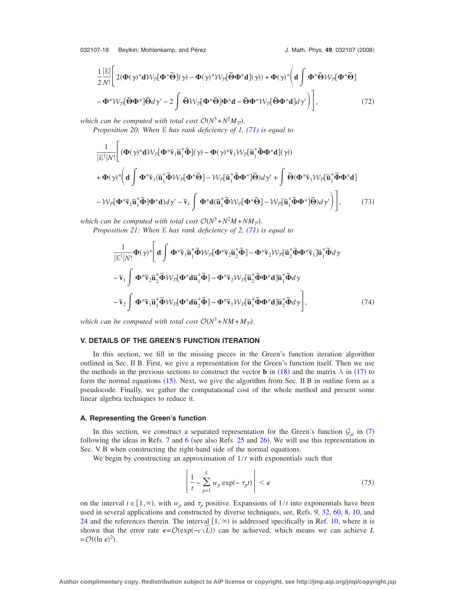<span id="page-17-1"></span>032107-18 Beylkin, Mohlenkamp, and Pérez

J. Math. Phys. 49, 032107 (2008)

$$
\frac{1}{2} \frac{|\mathbb{E}|}{N!} \Bigg[ 2(\Phi(\gamma)^* \mathbf{d} \mathcal{W}_p[\Phi^* \tilde{\Theta}](\gamma) - \Phi(\gamma)^* \mathcal{W}_p[\tilde{\Theta} \Phi^* \mathbf{d}](\gamma)) + \Phi(\gamma)^* \Big( \mathbf{d} \int \Phi^* \tilde{\Theta} \mathcal{W}_p[\Phi^* \tilde{\Theta}]
$$
  
 
$$
- \Phi^* \mathcal{W}_p[\tilde{\Theta} \Phi^*] \tilde{\Theta} d\gamma' - 2 \int \tilde{\Theta} \mathcal{W}_p[\Phi^* \tilde{\Theta}] \Phi^* \mathbf{d} - \tilde{\Theta} \Phi^* \mathcal{W}_p[\tilde{\Theta} \Phi^* \mathbf{d}] d\gamma' \Big) \Bigg],
$$
 (72)

*which can be computed with total cost*  $O(N^3 + N^2 M_p)$ .

*Proposition 20: When* E *has rank deficiency of 1, [\(71\)](#page-16-2) is equal to*

$$
\frac{1}{|\mathbf{E}^{\ddagger}|N!} \Bigg[ (\Phi(\gamma)^* \mathbf{d} \mathcal{W}_p [\Phi^* \tilde{\mathbf{v}}_1 \tilde{\mathbf{u}}_1^* \tilde{\Phi}] (\gamma) - \Phi(\gamma)^* \tilde{\mathbf{v}}_1 \mathcal{W}_p [\tilde{\mathbf{u}}_1^* \tilde{\Phi} \Phi^* \mathbf{d}] (\gamma)) \n+ \Phi(\gamma)^* \Big( \mathbf{d} \int \Phi^* \tilde{\mathbf{v}}_1 (\tilde{\mathbf{u}}_1^* \tilde{\Phi} \mathcal{W}_p [\Phi^* \tilde{\Theta}] - \mathcal{W}_p [\tilde{\mathbf{u}}_1^* \tilde{\Phi} \Phi^*] \tilde{\Theta}) d\gamma' + \int \tilde{\Theta} (\Phi^* \tilde{\mathbf{v}}_1 \mathcal{W}_p [\tilde{\mathbf{u}}_1^* \tilde{\Phi} \Phi^* \mathbf{d}] \n- \mathcal{W}_p [\Phi^* \tilde{\mathbf{v}}_1 \tilde{\mathbf{u}}_1^* \tilde{\Phi}] \Phi^* \mathbf{d} d\gamma' - \tilde{\mathbf{v}}_1 \int \Phi^* \mathbf{d} (\tilde{\mathbf{u}}_1^* \tilde{\Phi} \mathcal{W}_p [\Phi^* \tilde{\Theta}] - \mathcal{W}_p [\tilde{\mathbf{u}}_1^* \tilde{\Phi} \Phi^*] \tilde{\Theta}) d\gamma' \Big) \Bigg],
$$
\n(73)

*which can be computed with total cost*  $O(N^3 + N^2M + NM_P)$ .

*Proposition 21: When* E *has rank deficiency of 2, [\(71\)](#page-16-2) is equal to*

$$
\frac{1}{|\mathbf{E}^{\ddagger}|N!} \boldsymbol{\Phi}(\gamma)^{*} \Bigg[ \mathbf{d} \int \boldsymbol{\Phi}^{*} \tilde{\mathbf{v}}_{1} \tilde{\mathbf{u}}_{1}^{*} \tilde{\boldsymbol{\Phi}} \mathcal{W}_{p} [\boldsymbol{\Phi}^{*} \tilde{\mathbf{v}}_{2} \tilde{\mathbf{u}}_{2}^{*} \tilde{\boldsymbol{\Phi}}] - \boldsymbol{\Phi}^{*} \tilde{\mathbf{v}}_{2} \mathcal{W}_{p} [\tilde{\mathbf{u}}_{2}^{*} \tilde{\boldsymbol{\Phi}} \boldsymbol{\Phi}^{*} \tilde{\mathbf{v}}_{1}] \tilde{\mathbf{u}}_{1}^{*} \tilde{\boldsymbol{\Phi}} d\gamma \n- \tilde{\mathbf{v}}_{1} \int \boldsymbol{\Phi}^{*} \tilde{\mathbf{v}}_{2} \tilde{\mathbf{u}}_{2}^{*} \tilde{\boldsymbol{\Phi}} \mathcal{W}_{p} [\boldsymbol{\Phi}^{*} \mathbf{d} \tilde{\mathbf{u}}_{1}^{*} \tilde{\boldsymbol{\Phi}}] - \boldsymbol{\Phi}^{*} \tilde{\mathbf{v}}_{2} \mathcal{W}_{p} [\tilde{\mathbf{u}}_{2}^{*} \tilde{\boldsymbol{\Phi}} \boldsymbol{\Phi}^{*} \mathbf{d}] \tilde{\mathbf{u}}_{1}^{*} \tilde{\boldsymbol{\Phi}} d\gamma \n- \tilde{\mathbf{v}}_{2} \int \boldsymbol{\Phi}^{*} \tilde{\mathbf{v}}_{1} \tilde{\mathbf{u}}_{1}^{*} \tilde{\boldsymbol{\Phi}} \mathcal{W}_{p} [\boldsymbol{\Phi}^{*} \mathbf{d} \tilde{\mathbf{u}}_{2}^{*} \tilde{\boldsymbol{\Phi}}] - \boldsymbol{\Phi}^{*} \tilde{\mathbf{v}}_{1} \mathcal{W}_{p} [\tilde{\mathbf{u}}_{1}^{*} \tilde{\boldsymbol{\Phi}} \boldsymbol{\Phi}^{*} \mathbf{d}] \tilde{\mathbf{u}}_{2}^{*} \tilde{\boldsymbol{\Phi}} d\gamma \Bigg],
$$
\n(74)

*which can be computed with total cost*  $O(N^3 + NM + M_p)$ .

# **V. DETAILS OF THE GREEN'S FUNCTION ITERATION**

In this section, we fill in the missing pieces in the Green's function iteration algorithm outlined in Sec. II B. First, we give a representation for the Green's function itself. Then we use the methods in the previous sections to construct the vector **b** in  $(18)$  $(18)$  $(18)$  and the matrix A in  $(17)$  $(17)$  $(17)$  to form the normal equations  $(15)$  $(15)$  $(15)$ . Next, we give the algorithm from Sec. II B in outline form as a pseudocode. Finally, we gather the computational cost of the whole method and present some linear algebra techniques to reduce it.

### **A. Representing the Green's function**

In this section, we construct a separated representation for the Green's function  $G_{\mu}$  in ([7](#page-4-3)) following the ideas in Refs. [7](#page-26-0) and  $6$  (see also Refs. [25](#page-26-26) and [26](#page-26-27)). We will use this representation in Sec. V B when constructing the right-hand side of the normal equations.

We begin by constructing an approximation of 1/*t* with exponentials such that

$$
\left| \frac{1}{t} - \sum_{p=1}^{L} w_p \exp(-\tau_p t) \right| < \epsilon \tag{75}
$$

<span id="page-17-0"></span>on the interval  $t \in [1,\infty)$ , with  $w_p$  and  $\tau_p$  positive. Expansions of  $1/t$  into exponentials have been used in several applications and constructed by diverse techniques, see, Refs. [9,](#page-26-28) [32,](#page-26-29) [60,](#page-27-25) [8,](#page-26-30) [10,](#page-26-31) and [24](#page-26-32) and the references therein. The interval  $[1, \infty)$  is addressed specifically in Ref. [10,](#page-26-31) where it is shown that the error rate  $\epsilon = \mathcal{O}(\exp(-c\sqrt{L}))$  can be achieved, which means we can achieve *L*  $= \mathcal{O}((\ln \epsilon)^2).$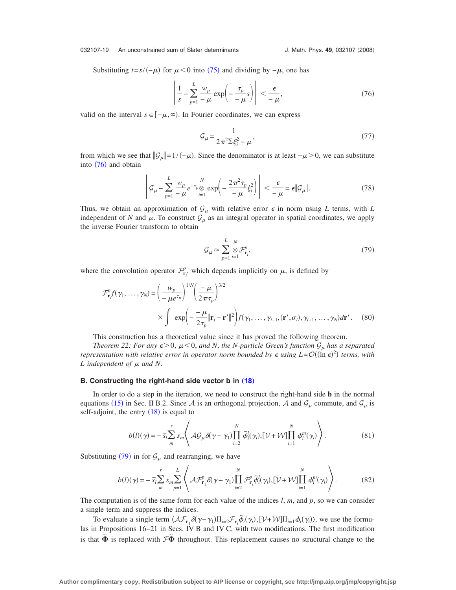#### 032107-19 An unconstrained sum of Slater determinants

### J. Math. Phys. 49, 032107 (2008)

<span id="page-18-0"></span>Substituting  $t = s/(-\mu)$  for  $\mu < 0$  into ([75](#page-17-0)) and dividing by  $-\mu$ , one has

$$
\left| \frac{1}{s} - \sum_{p=1}^{L} \frac{w_p}{-\mu} \exp\left(-\frac{\tau_p}{-\mu} s\right) \right| < \frac{\epsilon}{-\mu},\tag{76}
$$

valid on the interval  $s \in [-\mu, \infty)$ . In Fourier coordinates, we can express

$$
\mathcal{G}_{\mu} = \frac{1}{2\pi^2 \Sigma \xi_i^2 - \mu},\tag{77}
$$

from which we see that  $||\mathcal{G}_{\mu}||=1/(-\mu)$ . Since the denominator is at least  $-\mu > 0$ , we can substitute into ([76](#page-18-0)) and obtain

$$
\left| \mathcal{G}_{\mu} - \sum_{p=1}^{L} \frac{w_p}{-\mu} e^{-\tau_p} \otimes \exp\left(-\frac{2\pi^2 \tau_p}{-\mu} \xi_i^2\right) \right| < \frac{\epsilon}{-\mu} = \epsilon \|\mathcal{G}_{\mu}\|.\tag{78}
$$

Thus, we obtain an approximation of  $\mathcal{G}_{\mu}$  with relative error  $\epsilon$  in norm using *L* terms, with *L* independent of *N* and  $\mu$ . To construct  $\mathcal{G}_{\mu}$  as an integral operator in spatial coordinates, we apply the inverse Fourier transform to obtain

$$
\mathcal{G}_{\mu} \approx \sum_{p=1}^{L} \bigotimes_{i=1}^{N} \mathcal{F}_{\mathbf{r}_i}^p,\tag{79}
$$

<span id="page-18-2"></span><span id="page-18-1"></span>where the convolution operator  $\mathcal{F}_{\mathbf{r}_i}^p$ , which depends implicitly on  $\mu$ , is defined by

$$
\mathcal{F}_{\mathbf{r}_{i}}^{p} f(\gamma_{1}, \ldots, \gamma_{N}) = \left(\frac{w_{p}}{-\mu e^{\tau_{p}}}\right)^{1/N} \left(\frac{-\mu}{2\pi\tau_{p}}\right)^{3/2} \times \int \exp\left(-\frac{-\mu}{2\tau_{p}} \|\mathbf{r}_{i} - \mathbf{r}'\|^{2}\right) f(\gamma_{1}, \ldots, \gamma_{i-1}, (\mathbf{r}', \sigma_{i}), \gamma_{i+1}, \ldots, \gamma_{N}) d\mathbf{r}'.
$$
 (80)

This construction has a theoretical value since it has proved the following theorem.

*Theorem 22: For any*  $\epsilon > 0$ ,  $\mu < 0$ , and *N*, the *N*-particle Green's function  $\mathcal{G}_{\mu}$  has a separated *representation with relative error in operator norm bounded by*  $\epsilon$  *using*  $L = \mathcal{O}((\ln \epsilon)^2)$  *terms, with*  $L$  *independent of*  $\mu$  *and*  $N$ .

### **B. Constructing the right-hand side vector b in ([18](#page-6-1))**

In order to do a step in the iteration, we need to construct the right-hand side **b** in the normal equations ([15](#page-5-1)) in Sec. II B 2. Since A is an orthogonal projection, A and  $G_{\mu}$  commute, and  $G_{\mu}$  is self-adjoint, the entry  $(18)$  $(18)$  $(18)$  is equal to

$$
b(l)(\gamma) = -\tilde{s}_l \sum_{m}^{r} s_m \left\langle \mathcal{AG}_{\mu} \delta(\gamma - \gamma_1) \prod_{i=2}^{N} \tilde{\phi}_i^l(\gamma_i), [\mathcal{V} + \mathcal{W}] \prod_{i=1}^{N} \phi_i^m(\gamma_i) \right\rangle.
$$
 (81)

<span id="page-18-3"></span>Substituting ([79](#page-18-1)) in for  $\mathcal{G}_{\mu}$  and rearranging, we have

$$
b(l)(\gamma) = -\tilde{s}_l \sum_{m}^{r} s_m \sum_{p=1}^{L} \left\langle \mathcal{A} \mathcal{F}_{\mathbf{r}_1}^p \delta(\gamma - \gamma_1) \prod_{i=2}^{N} \mathcal{F}_{\mathbf{r}_i}^p \tilde{\phi}_i^l(\gamma_i), [\mathcal{V} + \mathcal{W}] \prod_{i=1}^{N} \phi_i^m(\gamma_i) \right\rangle.
$$
 (82)

The computation is of the same form for each value of the indices *l*, *m*, and *p*, so we can consider a single term and suppress the indices.

To evaluate a single term  $\langle \mathcal{A}F_{\mathbf{r}_1} \delta(\gamma - \gamma_1) \Pi_{i=2} \mathcal{F}_{\mathbf{r}_i} \tilde{\phi}_i(\gamma_i) , [\mathcal{V} + \mathcal{W}] \Pi_{i=1} \phi_i(\gamma_i) \rangle$ , we use the formulas in Propositions 16–21 in Secs. IV B and IV C, with two modifications. The first modification is that  $\tilde{\Phi}$  is replaced with  $\tilde{\mathcal{F}}\tilde{\Phi}$  throughout. This replacement causes no structural change to the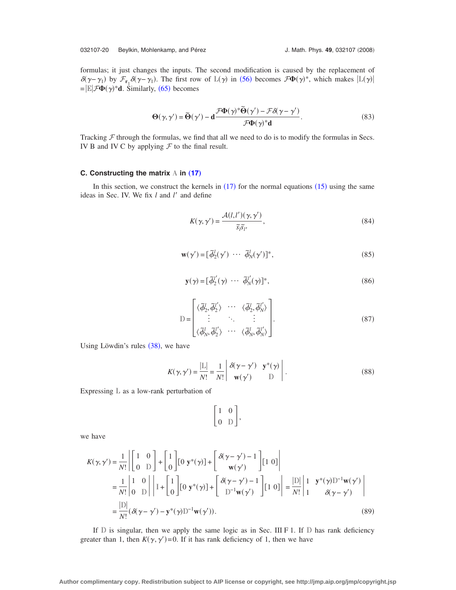formulas; it just changes the inputs. The second modification is caused by the replacement of  $\delta(\gamma - \gamma_1)$  by  $\mathcal{F}_{\mathbf{r}_1} \delta(\gamma - \gamma_1)$ . The first row of  $\mathbb{L}(\gamma)$  in ([56](#page-14-1)) becomes  $\mathcal{F}\Phi(\gamma)^*$ , which makes  $|\mathbb{L}(\gamma)|$  $=$   $\mathbb{E}|\mathcal{F}\Phi(\gamma)^{*}$ **d**. Similarly, ([65](#page-15-4)) becomes

$$
\Theta(\gamma, \gamma') = \widetilde{\Theta}(\gamma') - d \frac{\mathcal{F}\Phi(\gamma)^* \widetilde{\Theta}(\gamma') - \mathcal{F}\delta(\gamma - \gamma')}{\mathcal{F}\Phi(\gamma)^* d}.
$$
 (83)

<span id="page-19-0"></span>Tracking  $F$  through the formulas, we find that all we need to do is to modify the formulas in Secs. IV B and IV C by applying  $F$  to the final result.

### **C. Constructing the matrix**  $\mathbb{A}$  in ([17](#page-6-0))

In this section, we construct the kernels in  $(17)$  $(17)$  $(17)$  for the normal equations  $(15)$  $(15)$  $(15)$  using the same ideas in Sec. IV. We fix *l* and *l'* and define

$$
K(\gamma, \gamma') = \frac{\mathcal{A}(l, l')(\gamma, \gamma')}{\tilde{s}_l \tilde{s}_{l'}},
$$
\n(84)

$$
\mathbf{w}(\gamma') = [\tilde{\phi}_2^l(\gamma') \cdots \tilde{\phi}_N^l(\gamma')]^*,
$$
\n(85)

$$
\mathbf{y}(\gamma) = [\tilde{\phi}_2^{j'}(\gamma) \cdots \tilde{\phi}_N^{j'}(\gamma)]^*,
$$
\n(86)

$$
D = \begin{bmatrix} \langle \vec{\phi}_2^l, \vec{\phi}_2^l \rangle & \cdots & \langle \vec{\phi}_2^l, \vec{\phi}_N^l \rangle \\ \vdots & \ddots & \vdots \\ \langle \vec{\phi}_N^l, \vec{\phi}_2^l \rangle & \cdots & \langle \vec{\phi}_N^l, \vec{\phi}_N^l \rangle \end{bmatrix} .
$$
 (87)

<span id="page-19-2"></span><span id="page-19-1"></span>Using Löwdin's rules  $(38)$  $(38)$  $(38)$ , we have

$$
K(\gamma, \gamma') = \frac{|L|}{N!} = \frac{1}{N!} \begin{vmatrix} \delta(\gamma - \gamma') & \mathbf{y}^*(\gamma) \\ \mathbf{w}(\gamma') & D \end{vmatrix}.
$$
 (88)

Expressing L as a low-rank perturbation of

$$
\begin{bmatrix} 1 & 0 \\ 0 & D \end{bmatrix},
$$

we have

$$
K(\gamma, \gamma') = \frac{1}{N!} \begin{bmatrix} 1 & 0 \\ 0 & D \end{bmatrix} + \begin{bmatrix} 1 \\ 0 \end{bmatrix} [0 \mathbf{y}^*(\gamma)] + \begin{bmatrix} \delta(\gamma - \gamma') - 1 \\ \mathbf{w}(\gamma') \end{bmatrix} [1 \ 0] = \frac{1}{N!} \begin{bmatrix} 1 & 0 \\ 0 & D \end{bmatrix} \begin{bmatrix} 1 \\ 1 + \begin{bmatrix} 1 \\ 0 \end{bmatrix} [0 \mathbf{y}^*(\gamma)] + \begin{bmatrix} \delta(\gamma - \gamma') - 1 \\ D^{-1} \mathbf{w}(\gamma') \end{bmatrix} [1 \ 0] = \frac{|D|}{N!} \begin{bmatrix} 1 \\ 1 \end{bmatrix} \frac{\mathbf{y}^*(\gamma) D^{-1} \mathbf{w}(\gamma')}{\delta(\gamma - \gamma')} \end{bmatrix} = \frac{|D|}{N!} (\delta(\gamma - \gamma') - \mathbf{y}^*(\gamma) D^{-1} \mathbf{w}(\gamma')). \tag{89}
$$

If  $D$  is singular, then we apply the same logic as in Sec. III F 1. If  $D$  has rank deficiency greater than 1, then  $K(\gamma, \gamma') = 0$ . If it has rank deficiency of 1, then we have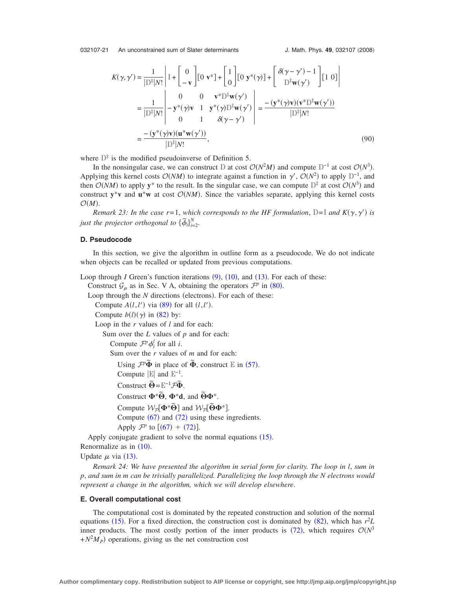032107-21 An unconstrained sum of Slater determinants

J. Math. Phys. 49, 032107 (2008)

$$
K(\gamma, \gamma') = \frac{1}{|\mathbf{D}^{\ddagger}|\mathbf{N}!} \left| \mathbf{I} + \begin{bmatrix} 0 \\ -\mathbf{v} \end{bmatrix} [0 \mathbf{v}^*] + \begin{bmatrix} 1 \\ 0 \end{bmatrix} [0 \mathbf{y}^*(\gamma)] + \begin{bmatrix} \delta(\gamma - \gamma') - 1 \\ \mathbf{D}^{\ddagger} \mathbf{w}(\gamma') \end{bmatrix} [1 \ 0] \right|
$$
  
\n
$$
= \frac{1}{|\mathbf{D}^{\ddagger}|\mathbf{N}!} \left| -\mathbf{y}^*(\gamma)\mathbf{v} \mathbf{1} \mathbf{y}^*(\gamma)\mathbf{D}^{\ddagger} \mathbf{w}(\gamma') \right| = \frac{-(\mathbf{y}^*(\gamma)\mathbf{v})(\mathbf{v}^*\mathbf{D}^{\ddagger} \mathbf{w}(\gamma'))}{|\mathbf{D}^{\ddagger}|\mathbf{N}!|}
$$
  
\n
$$
= \frac{-(\mathbf{y}^*(\gamma)\mathbf{v})(\mathbf{u}^*\mathbf{w}(\gamma'))}{|\mathbf{D}^{\ddagger}|\mathbf{N}!|}, \qquad (90)
$$

where  $D^{\ddagger}$  is the modified pseudoinverse of Definition 5.

In the nonsingular case, we can construct D at cost  $O(N^2M)$  and compute D<sup>-1</sup> at cost  $O(N^3)$ . Applying this kernel costs  $O(NM)$  to integrate against a function in  $\gamma'$ ,  $O(N^2)$  to apply  $D^{-1}$ , and then  $O(NM)$  to apply **y**<sup>\*</sup> to the result. In the singular case, we can compute  $D^{\ddagger}$  at cost  $O(N^3)$  and construct  $y^*v$  and  $u^*w$  at cost  $O(NM)$ . Since the variables separate, applying this kernel costs  $\mathcal{O}(M)$ .

*Remark 23: In the case r*=1, *which corresponds to the HF formulation*,  $D=I$  *and*  $K(\gamma, \gamma')$  *is just the projector orthogonal to*  $\{\tilde{\phi}_i\}_{i=2}^N$ .

### **D. Pseudocode**

In this section, we give the algorithm in outline form as a pseudocode. We do not indicate when objects can be recalled or updated from previous computations.

Loop through *I* Green's function iterations  $(9)$  $(9)$  $(9)$ ,  $(10)$  $(10)$  $(10)$ , and  $(13)$  $(13)$  $(13)$ . For each of these:

Construct  $\mathcal{G}_{\mu}$  as in Sec. V A, obtaining the operators  $\mathcal{F}^p$  in ([80](#page-18-2)).

Loop through the *N* directions (electrons). For each of these:

Compute  $A(l, l')$  via ([89](#page-19-0)) for all  $(l, l')$ .

Compute  $b(l)(\gamma)$  in ([82](#page-18-3)) by:

Loop in the *r* values of *l* and for each:

Sum over the *L* values of *p* and for each:

Compute  $\mathcal{F}^p \phi_i^l$  for all *i*.

Sum over the *r* values of *m* and for each:

Using  $\mathcal{F}^p \widetilde{\Phi}$  in place of  $\widetilde{\Phi}$ , construct E in ([57](#page-14-2)).

Compute  $\mathbb{E}$  and  $\mathbb{E}^{-1}$ .

Construct  $\ddot{\mathbf{\Theta}} = \mathbb{E}^{-1} \mathcal{F} \tilde{\mathbf{\Phi}}$ .

Construct  $\Phi^*\tilde{\Theta}$ ,  $\Phi^*d$ , and  $\tilde{\Theta}\Phi^*$ .

Compute  $W_p[\Phi^*\tilde{\Theta}]$  and  $W_p[\tilde{\Theta}\Phi^*]$ . Compute  $(67)$  $(67)$  $(67)$  and  $(72)$  $(72)$  $(72)$  using these ingredients.

Apply  $\mathcal{F}^p$  to  $[(67) + (72)].$  $[(67) + (72)].$  $[(67) + (72)].$  $[(67) + (72)].$  $[(67) + (72)].$ 

Apply conjugate gradient to solve the normal equations  $(15)$  $(15)$  $(15)$ .

Renormalize as in  $(10)$  $(10)$  $(10)$ .

Update  $\mu$  via ([13](#page-5-2)).

*Remark 24: We have presented the algorithm in serial form for clarity. The loop in l*, *sum in p*, *and sum in m can be trivially parallelized. Parallelizing the loop through the N electrons would represent a change in the algorithm, which we will develop elsewhere*.

### **E. Overall computational cost**

The computational cost is dominated by the repeated construction and solution of the normal equations ([15](#page-5-1)). For a fixed direction, the construction cost is dominated by  $(82)$  $(82)$  $(82)$ , which has  $r^2L$ inner products. The most costly portion of the inner products is  $(72)$  $(72)$  $(72)$ , which requires  $O(N^3)$  $+N^2M_P$ ) operations, giving us the net construction cost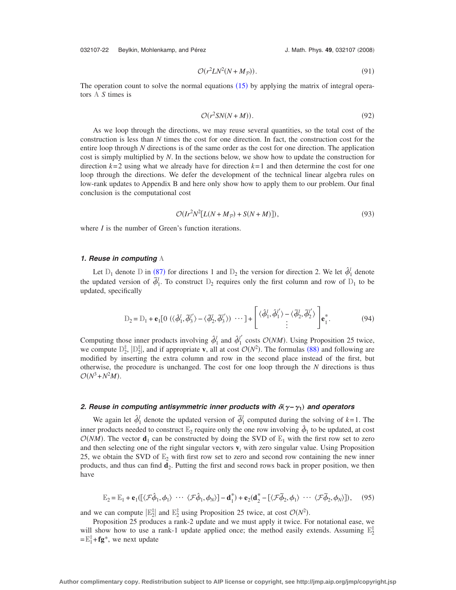032107-22 Beylkin, Mohlenkamp, and Pérez

J. Math. Phys. 49, 032107 (2008)

$$
\mathcal{O}(r^2 L N^2 (N + M_{\mathcal{P}})).\tag{91}
$$

The operation count to solve the normal equations  $(15)$  $(15)$  $(15)$  by applying the matrix of integral operators A *S* times is

$$
\mathcal{O}(r^2 SN(N+M)).\tag{92}
$$

As we loop through the directions, we may reuse several quantities, so the total cost of the construction is less than *N* times the cost for one direction. In fact, the construction cost for the entire loop through *N* directions is of the same order as the cost for one direction. The application cost is simply multiplied by *N*. In the sections below, we show how to update the construction for direction  $k=2$  using what we already have for direction  $k=1$  and then determine the cost for one loop through the directions. We defer the development of the technical linear algebra rules on low-rank updates to Appendix B and here only show how to apply them to our problem. Our final conclusion is the computational cost

$$
\mathcal{O}(Ir^2N^2[L(N+M_{\mathcal{P}})+S(N+M)]),\tag{93}
$$

where *I* is the number of Green's function iterations.

### *1. Reuse in computing* A

Let  $D_1$  denote  $D$  in ([87](#page-19-1)) for directions 1 and  $D_2$  the version for direction 2. We let  $\hat{\phi}_1^l$  denote the updated version of  $\tilde{\phi}_1^l$ . To construct  $D_2$  requires only the first column and row of  $D_1$  to be updated, specifically

$$
D_2 = D_1 + \mathbf{e}_1[0 \left( \langle \hat{\phi}_1^l, \tilde{\phi}_3^{l'} \rangle - \langle \tilde{\phi}_2^l, \tilde{\phi}_3^{l'} \rangle \right) \cdots ] + \left[ \langle \hat{\phi}_1^l, \hat{\phi}_1^{l'} \rangle - \langle \tilde{\phi}_2^l, \tilde{\phi}_2^{l'} \rangle \right] \mathbf{e}_1^*.
$$
 (94)

Computing those inner products involving  $\hat{\phi}_1^l$  and  $\hat{\phi}_1^{l'}$  costs  $\mathcal{O}(NM)$ . Using Proposition 25 twice, we compute  $D_2^{\ddagger}$ ,  $|D_2^{\ddagger}|$ , and if appropriate **v**, all at cost  $O(N^2)$ . The formulas ([88](#page-19-2)) and following are modified by inserting the extra column and row in the second place instead of the first, but otherwise, the procedure is unchanged. The cost for one loop through the *N* directions is thus  $O(N^3 + N^2M)$ .

### 2. Reuse in computing antisymmetric inner products with  $\delta$ (γ-γ<sub>1</sub>) and operators

We again let  $\hat{\phi}_1^l$  denote the updated version of  $\tilde{\phi}_1^l$  computed during the solving of  $k=1$ . The inner products needed to construct  $\mathbb{E}_2$  require only the one row involving  $\hat{\phi}_1$  to be updated, at cost  $O(NM)$ . The vector **d**<sub>1</sub> can be constructed by doing the SVD of  $E_1$  with the first row set to zero and then selecting one of the right singular vectors  $v_i$  with zero singular value. Using Proposition 25, we obtain the SVD of  $E_2$  with first row set to zero and second row containing the new inner products, and thus can find  $\mathbf{d}_2$ . Putting the first and second rows back in proper position, we then have

$$
\mathbb{E}_2 = \mathbb{E}_1 + \mathbf{e}_1([\langle \mathcal{F} \hat{\phi}_1, \phi_1 \rangle \cdots \langle \mathcal{F} \hat{\phi}_1, \phi_N \rangle] - \mathbf{d}_1^* + \mathbf{e}_2(\mathbf{d}_2^* - [\langle \mathcal{F} \tilde{\phi}_2, \phi_1 \rangle \cdots \langle \mathcal{F} \tilde{\phi}_2, \phi_N \rangle]), \quad (95)
$$

and we can compute  $|\mathbb{E}_2^{\ddagger}|$  and  $\mathbb{E}_2^{\ddagger}$  using Proposition 25 twice, at cost  $\mathcal{O}(N^2)$ .

Proposition 25 produces a rank-2 update and we must apply it twice. For notational ease, we will show how to use a rank-1 update applied once; the method easily extends. Assuming  $\mathbb{E}_2^{\ddagger}$  $=\mathbb{E}_1^{\ddagger} + \mathbf{fg}^*$ , we next update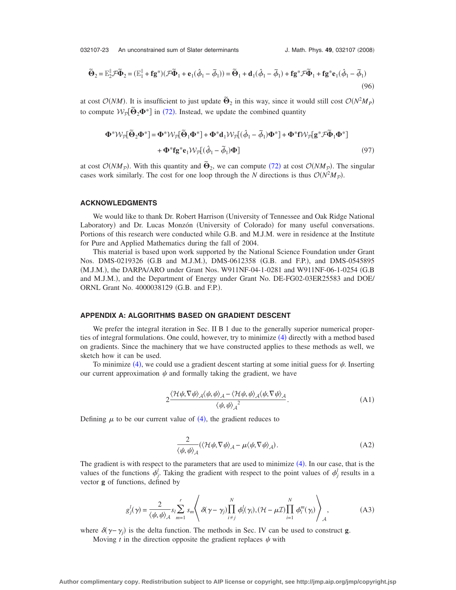032107-23 An unconstrained sum of Slater determinants

J. Math. Phys. 49, 032107 (2008)

$$
\widetilde{\Theta}_2 = \mathbb{E}_2^{\ddagger} \mathcal{F} \widetilde{\Phi}_2 = (\mathbb{E}_1^{\ddagger} + \mathbf{f} \mathbf{g}^*) (\mathcal{F} \widetilde{\Phi}_1 + \mathbf{e}_1 (\hat{\phi}_1 - \widetilde{\phi}_1)) = \widetilde{\Theta}_1 + \mathbf{d}_1 (\hat{\phi}_1 - \widetilde{\phi}_1) + \mathbf{f} \mathbf{g}^* \mathcal{F} \widetilde{\Phi}_1 + \mathbf{f} \mathbf{g}^* \mathbf{e}_1 (\hat{\phi}_1 - \widetilde{\phi}_1)
$$
\n(96)

at cost  $O(NM)$ . It is insufficient to just update  $\tilde{\Theta}_2$  in this way, since it would still cost  $O(N^2M_P)$ to compute  $W_p[\tilde{\Theta}_2 \Phi^*]$  in ([72](#page-17-1)). Instead, we update the combined quantity

$$
\Phi^* \mathcal{W}_p[\tilde{\Theta}_2 \Phi^*] = \Phi^* \mathcal{W}_p[\tilde{\Theta}_1 \Phi^*] + \Phi^* \mathbf{d}_1 \mathcal{W}_p[(\hat{\phi}_1 - \tilde{\phi}_1) \Phi^*] + \Phi^* \mathbf{f} \mathcal{W}_p[\mathbf{g}^* \mathcal{F} \tilde{\Phi}_1 \Phi^*]
$$
  
+ 
$$
\Phi^* \mathbf{f} \mathbf{g}^* \mathbf{e}_1 \mathcal{W}_p[(\hat{\phi}_1 - \tilde{\phi}_1) \Phi]
$$
(97)

at cost  $O(NM_P)$ . With this quantity and  $\tilde{\Theta}_2$ , we can compute ([72](#page-17-1)) at cost  $O(NM_P)$ . The singular cases work similarly. The cost for one loop through the *N* directions is thus  $O(N^2M_P)$ .

### **ACKNOWLEDGMENTS**

We would like to thank Dr. Robert Harrison University of Tennessee and Oak Ridge National Laboratory) and Dr. Lucas Monzón (University of Colorado) for many useful conversations. Portions of this research were conducted while G.B. and M.J.M. were in residence at the Institute for Pure and Applied Mathematics during the fall of 2004.

This material is based upon work supported by the National Science Foundation under Grant Nos. DMS-0219326 (G.B and M.J.M.), DMS-0612358 (G.B. and F.P.), and DMS-0545895 (M.J.M.), the DARPA/ARO under Grant Nos. W911NF-04-1-0281 and W911NF-06-1-0254 (G.B and M.J.M.), and the Department of Energy under Grant No. DE-FG02-03ER25583 and DOE/ ORNL Grant No. 4000038129 (G.B. and F.P.).

# **APPENDIX A: ALGORITHMS BASED ON GRADIENT DESCENT**

We prefer the integral iteration in Sec. II B 1 due to the generally superior numerical proper-ties of integral formulations. One could, however, try to minimize ([4](#page-2-2)) directly with a method based on gradients. Since the machinery that we have constructed applies to these methods as well, we sketch how it can be used.

To minimize ([4](#page-2-2)), we could use a gradient descent starting at some initial guess for  $\psi$ . Inserting our current approximation  $\psi$  and formally taking the gradient, we have

$$
2\frac{\langle \mathcal{H}\psi,\nabla\psi\rangle_{\mathcal{A}}\langle\psi,\psi\rangle_{\mathcal{A}} - \langle \mathcal{H}\psi,\psi\rangle_{\mathcal{A}}\langle\psi,\nabla\psi\rangle_{\mathcal{A}}}{\langle\psi,\psi\rangle_{\mathcal{A}}^2}.
$$
 (A1)

Defining  $\mu$  to be our current value of  $(4)$  $(4)$  $(4)$ , the gradient reduces to

$$
\frac{2}{\langle \psi, \psi \rangle_{\mathcal{A}}} (\langle \mathcal{H} \psi, \nabla \psi \rangle_{\mathcal{A}} - \mu \langle \psi, \nabla \psi \rangle_{\mathcal{A}}). \tag{A2}
$$

The gradient is with respect to the parameters that are used to minimize  $(4)$  $(4)$  $(4)$ . In our case, that is the values of the functions  $\phi_j^l$ . Taking the gradient with respect to the point values of  $\phi_j^l$  results in a vector **g** of functions, defined by

$$
g_j^l(\gamma) = \frac{2}{\langle \psi, \psi \rangle_A} s_l \sum_{m=1}^r s_m \left\langle \delta(\gamma - \gamma_j) \prod_{i \neq j}^N \phi_i^l(\gamma_i), (\mathcal{H} - \mu \mathcal{I}) \prod_{i=1}^N \phi_i^m(\gamma_i) \right\rangle_A, \tag{A3}
$$

where  $\delta(\gamma - \gamma_j)$  is the delta function. The methods in Sec. IV can be used to construct **g**. Moving *t* in the direction opposite the gradient replaces  $\psi$  with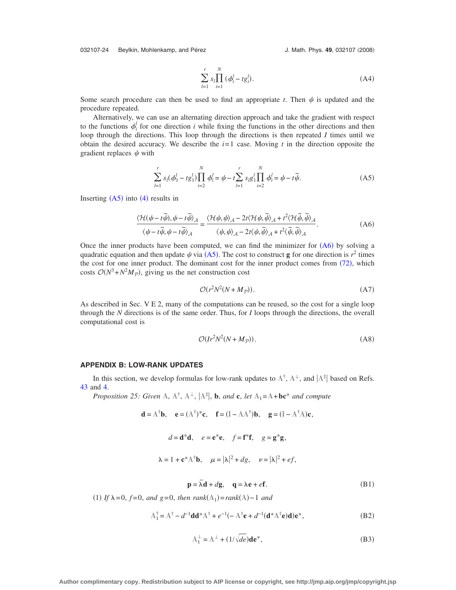032107-24 Beylkin, Mohlenkamp, and Pérez

J. Math. Phys. 49, 032107 (2008)

$$
\sum_{l=1}^{r} s_l \prod_{i=1}^{N} (\phi_i^l - t g_i^l).
$$
 (A4)

Some search procedure can then be used to find an appropriate  $t$ . Then  $\psi$  is updated and the procedure repeated.

Alternatively, we can use an alternating direction approach and take the gradient with respect to the functions  $\phi_i^l$  for one direction *i* while fixing the functions in the other directions and then loop through the directions. This loop through the directions is then repeated *I* times until we obtain the desired accuracy. We describe the *i*=1 case. Moving *t* in the direction opposite the gradient replaces  $\psi$  with

$$
\sum_{l=1}^{r} s_l (\phi_1^l - t g_1^l) \prod_{i=2}^{N} \phi_i^l = \psi - t \sum_{l=1}^{r} s_l g_1^l \prod_{i=2}^{N} \phi_i^l = \psi - t \widetilde{\psi}.
$$
 (A5)

<span id="page-23-1"></span><span id="page-23-0"></span>Inserting  $(A5)$  $(A5)$  $(A5)$  into  $(4)$  $(4)$  $(4)$  results in

$$
\frac{\langle \mathcal{H}(\psi - t\widetilde{\psi}), \psi - t\widetilde{\psi} \rangle_{\mathcal{A}}}{\langle \psi - t\widetilde{\psi}, \psi - t\widetilde{\psi} \rangle_{\mathcal{A}}} = \frac{\langle \mathcal{H}\psi, \psi \rangle_{\mathcal{A}} - 2t \langle \mathcal{H}\psi, \widetilde{\psi} \rangle_{\mathcal{A}} + t^2 \langle \mathcal{H}\widetilde{\psi}, \widetilde{\psi} \rangle_{\mathcal{A}}}{\langle \psi, \psi \rangle_{\mathcal{A}} - 2t \langle \psi, \widetilde{\psi} \rangle_{\mathcal{A}} + t^2 \langle \widetilde{\psi}, \widetilde{\psi} \rangle_{\mathcal{A}}}.
$$
(A6)

Once the inner products have been computed, we can find the minimizer for  $(A6)$  $(A6)$  $(A6)$  by solving a quadratic equation and then update  $\psi$  via ([A5](#page-23-0)). The cost to construct **g** for one direction is  $r^2$  times the cost for one inner product. The dominant cost for the inner product comes from ([72](#page-17-1)), which costs  $O(N^3 + N^2 M_p)$ , giving us the net construction cost

$$
\mathcal{O}(r^2N^2(N+M_{\mathcal{P}})).\tag{A7}
$$

As described in Sec. V E 2, many of the computations can be reused, so the cost for a single loop through the *N* directions is of the same order. Thus, for *I* loops through the directions, the overall computational cost is

$$
\mathcal{O}(Ir^2N^2(N+M_{\mathcal{P}})).\tag{A8}
$$

### **APPENDIX B: LOW-RANK UPDATES**

<span id="page-23-3"></span>In this section, we develop formulas for low-rank updates to  $A^{\dagger}$ ,  $A^{\perp}$ , and  $|A^{\dagger}|$  based on Refs. [43](#page-27-26) and [4.](#page-26-33)

*Proposition 25: Given* A,  $A^{\dagger}$ ,  $A^{\perp}$ ,  $|A^{\ddagger}|$ , **b**, *and* **c**, *let*  $A_1 = A + bc^*$  *and compute* 

$$
\mathbf{d} = A^{\dagger} \mathbf{b}, \quad \mathbf{e} = (A^{\dagger})^* \mathbf{c}, \quad \mathbf{f} = (I - AA^{\dagger}) \mathbf{b}, \quad \mathbf{g} = (I - A^{\dagger} A) \mathbf{c},
$$

$$
d = \mathbf{d}^* \mathbf{d}, \quad e = \mathbf{e}^* \mathbf{e}, \quad f = \mathbf{f}^* \mathbf{f}, \quad g = \mathbf{g}^* \mathbf{g},
$$

$$
\lambda = 1 + \mathbf{c}^* \mathbf{A}^\dagger \mathbf{b}, \quad \mu = |\lambda|^2 + dg, \quad \nu = |\lambda|^2 + ef,
$$

$$
\mathbf{p} = \overline{\lambda}\mathbf{d} + d\mathbf{g}, \quad \mathbf{q} = \lambda \mathbf{e} + e\mathbf{f}.
$$
 (B1)

<span id="page-23-2"></span> $1)$  *If* λ = 0, *f* = 0, *and g* = 0, *then rank*(A<sub>1</sub>) = *rank*(A) − 1 *and* 

$$
\mathbf{A}_1^{\dagger} = \mathbf{A}^{\dagger} - d^{-1} \mathbf{d} \mathbf{d}^* \mathbf{A}^{\dagger} + e^{-1} (-\mathbf{A}^{\dagger} \mathbf{e} + d^{-1} (\mathbf{d}^* \mathbf{A}^{\dagger} \mathbf{e}) \mathbf{d}) \mathbf{e}^*,
$$
 (B2)

$$
\mathbf{A}_1^{\perp} = \mathbf{A}^{\perp} + (1/\sqrt{de})\mathbf{d}\mathbf{e}^*,\tag{B3}
$$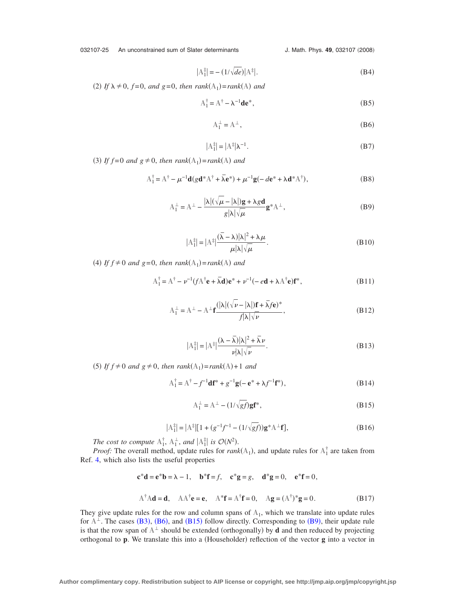J. Math. Phys. 49, 032107 (2008)

$$
|\mathbf{A}_1^{\ddagger}| = -\left(1/\sqrt{de}\right)|\mathbf{A}^{\ddagger}|.\tag{B4}
$$

<span id="page-24-6"></span><span id="page-24-1"></span><span id="page-24-0"></span>(2) If  $\lambda \neq 0$ ,  $f=0$ , and  $g=0$ , then rank(A<sub>1</sub>) = rank(A) and

$$
A_1^{\dagger} = A^{\dagger} - \lambda^{-1} \mathbf{d} \mathbf{e}^*,
$$
 (B5)

$$
A_1^{\perp} = A^{\perp}, \tag{B6}
$$

$$
|\mathbf{A}_1^{\ddagger}| = |\mathbf{A}^{\ddagger}|\mathbf{\lambda}^{-1}.
$$
 (B7)

<span id="page-24-7"></span><span id="page-24-3"></span>(3) If  $f=0$  and  $g \neq 0$ , then rank $(A_1)$ =rank $(A)$  and

$$
\mathbf{A}_{1}^{\dagger} = \mathbf{A}^{\dagger} - \boldsymbol{\mu}^{-1} \mathbf{d} (g \mathbf{d}^{*} \mathbf{A}^{\dagger} + \overline{\lambda} \mathbf{e}^{*}) + \boldsymbol{\mu}^{-1} \mathbf{g} (-d \mathbf{e}^{*} + \lambda \mathbf{d}^{*} \mathbf{A}^{\dagger}),
$$
 (B8)

$$
A_1^{\perp} = A^{\perp} - \frac{|\lambda|(\sqrt{\mu} - |\lambda|)g + \lambda g d}{g|\lambda|\sqrt{\mu}} g^* A^{\perp},
$$
 (B9)

$$
|\mathbf{A}_{1}^{\ddagger}| = |\mathbf{A}^{\ddagger}| \frac{(\overline{\lambda} - \lambda)|\lambda|^{2} + \lambda \mu}{\mu |\lambda| \sqrt{\mu}}.
$$
 (B10)

<span id="page-24-8"></span><span id="page-24-4"></span>(4) If  $f \neq 0$  and  $g=0$ , then rank $(A_1)$ =rank $(A)$  and

$$
\mathbf{A}_{1}^{\dagger} = \mathbf{A}^{\dagger} - \nu^{-1} (f \mathbf{A}^{\dagger} \mathbf{e} + \overline{\lambda} \mathbf{d}) \mathbf{e}^{*} + \nu^{-1} (-e \mathbf{d} + \lambda \mathbf{A}^{\dagger} \mathbf{e}) \mathbf{f}^{*}, \tag{B11}
$$

$$
A_{1}^{\perp} = A^{\perp} - A^{\perp} \mathbf{f} \frac{(|\lambda|(\sqrt{\nu} - |\lambda|) \mathbf{f} + \bar{\lambda} f \mathbf{e})^{*}}{f |\lambda| \sqrt{\nu}}, \tag{B12}
$$

$$
|\mathbf{A}_1^{\ddagger}| = |\mathbf{A}^{\ddagger}| \frac{(\lambda - \overline{\lambda}) |\lambda|^2 + \overline{\lambda} \nu}{\nu |\lambda| \sqrt{\nu}}.
$$
 (B13)

<span id="page-24-9"></span><span id="page-24-2"></span>(5) If  $f \neq 0$  and  $g \neq 0$ , then rank $(A_1) = rank(A) + 1$  and

$$
A_1^{\dagger} = A^{\dagger} - f^{-1} d\mathbf{f}^* + g^{-1} g(-e^* + \lambda f^{-1} \mathbf{f}^*),
$$
 (B14)

$$
\mathbf{A}_1^{\perp} = \mathbf{A}^{\perp} - (1/\sqrt{gf})\mathbf{gf}^*,\tag{B15}
$$

$$
|\mathbf{A}_1^{\ddagger}| = |\mathbf{A}^{\ddagger}| [1 + (g^{-1}f^{-1} - (1/\sqrt{gf})) \mathbf{g}^* \mathbf{A}^{\perp} \mathbf{f}],
$$
 (B16)

*The cost to compute*  $A_1^{\dagger}$ ,  $A_1^{\perp}$ , *and*  $|A_1^{\ddagger}|$  *is*  $\mathcal{O}(N^2)$ .

<span id="page-24-10"></span><span id="page-24-5"></span>*Proof:* The overall method, update rules for  $rank(A_1)$ , and update rules for  $A_1^{\dagger}$  are taken from Ref. [4,](#page-26-33) which also lists the useful properties

$$
\mathbf{c}^* \mathbf{d} = \mathbf{e}^* \mathbf{b} = \lambda - 1, \quad \mathbf{b}^* \mathbf{f} = f, \quad \mathbf{c}^* \mathbf{g} = g, \quad \mathbf{d}^* \mathbf{g} = 0, \quad \mathbf{e}^* \mathbf{f} = 0,
$$
  

$$
\mathbf{A}^\dagger \mathbf{A} \mathbf{d} = \mathbf{d}, \quad \mathbf{A} \mathbf{A}^\dagger \mathbf{e} = \mathbf{e}, \quad \mathbf{A}^* \mathbf{f} = \mathbf{A}^\dagger \mathbf{f} = 0, \quad \mathbf{A} \mathbf{g} = (\mathbf{A}^\dagger)^* \mathbf{g} = 0.
$$
 (B17)

They give update rules for the row and column spans of  $A_1$ , which we translate into update rules for  $A^{\perp}$ . The cases ([B3](#page-23-2)), ([B6](#page-24-1)), and ([B15](#page-24-2)) follow directly. Corresponding to ([B9](#page-24-3)), their update rule is that the row span of  $A^{\perp}$  should be extended (orthogonally) by **d** and then reduced by projecting orthogonal to p. We translate this into a (Householder) reflection of the vector g into a vector in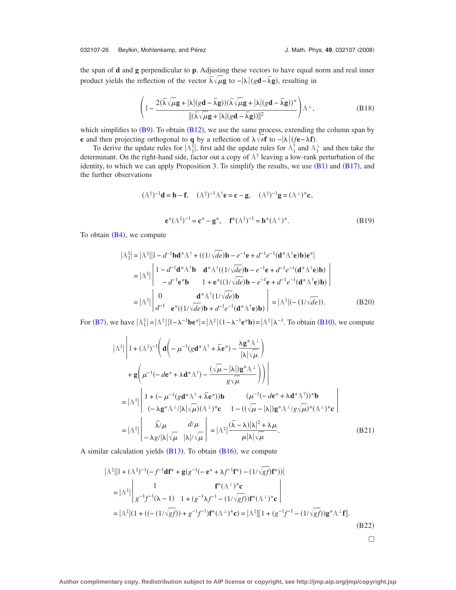$\Box$ 

the span of **d** and **g** perpendicular to **p**. Adjusting these vectors to have equal norm and real inner product yields the reflection of the vector  $\bar{\lambda} \sqrt{\mu} g$  to  $-|\lambda| (g \mathbf{d} - \bar{\lambda} g)$ , resulting in

$$
\left(1 - \frac{2(\bar{\lambda}\sqrt{\mu}\mathbf{g} + |\lambda|(g\mathbf{d} - \bar{\lambda}\mathbf{g}))(\bar{\lambda}\sqrt{\mu}\mathbf{g} + |\lambda|(g\mathbf{d} - \bar{\lambda}\mathbf{g}))^*}{\|(\bar{\lambda}\sqrt{\mu}\mathbf{g} + |\lambda|(g\mathbf{d} - \bar{\lambda}\mathbf{g}))\|^2}\right) \mathbf{A}^{\perp},
$$
\n(B18)

which simplifies to  $(B9)$  $(B9)$  $(B9)$ . To obtain  $(B12)$  $(B12)$  $(B12)$ , we use the same process, extending the column span by **e** and then projecting orthogonal to **q** by a reflection of  $\lambda \sqrt{n}$  to  $-\frac{\lambda}{n}$  ( $f e - \lambda f$ ).

To derive the update rules for  $|A_1^{\frac{1}{4}}|$ , first add the update rules for  $A_1^{\frac{1}{4}}$  and  $A_1^{\perp}$  and then take the determinant. On the right-hand side, factor out a copy of  $A^{\ddagger}$  leaving a low-rank perturbation of the identity, to which we can apply Proposition 3. To simplify the results, we use  $(B1)$  $(B1)$  $(B1)$  and  $(B17)$  $(B17)$  $(B17)$ , and the further observations

$$
(A^{\ddagger})^{-1} \mathbf{d} = \mathbf{b} - \mathbf{f}, \quad (A^{\ddagger})^{-1} A^{\dagger} \mathbf{e} = \mathbf{c} - \mathbf{g}, \quad (A^{\ddagger})^{-1} \mathbf{g} = (A^{\perp})^* \mathbf{c},
$$

$$
\mathbf{e}^* (A^{\ddagger})^{-1} = \mathbf{c}^* - \mathbf{g}^*, \quad \mathbf{f}^* (A^{\ddagger})^{-1} = \mathbf{b}^* (A^{\perp})^*.
$$
(B19)

To obtain  $(B4)$  $(B4)$  $(B4)$ , we compute

$$
|\mathbf{A}_{1}^{\ddagger}| = |\mathbf{A}^{\ddagger}| |\mathbf{I} - d^{-1} \mathbf{b} \mathbf{d}^* \mathbf{A}^{\dagger} + ((1/\sqrt{de}) \mathbf{b} - e^{-1} \mathbf{e} + d^{-1} e^{-1} (\mathbf{d}^* \mathbf{A}^{\dagger} \mathbf{e}) \mathbf{b}) \mathbf{e}^*|
$$
  
\n
$$
= |\mathbf{A}^{\ddagger}| \begin{vmatrix} 1 - d^{-1} \mathbf{d}^* \mathbf{A}^{\dagger} \mathbf{b} & \mathbf{d}^* \mathbf{A}^{\dagger} ((1/\sqrt{de}) \mathbf{b} - e^{-1} \mathbf{e} + d^{-1} e^{-1} (\mathbf{d}^* \mathbf{A}^{\dagger} \mathbf{e}) \mathbf{b}) \\ - d^{-1} \mathbf{e}^* \mathbf{b} & 1 + \mathbf{e}^* ((1/\sqrt{de}) \mathbf{b} - e^{-1} \mathbf{e} + d^{-1} e^{-1} (\mathbf{d}^* \mathbf{A}^{\dagger} \mathbf{e}) \mathbf{b}) \end{vmatrix}
$$
  
\n
$$
= |\mathbf{A}^{\ddagger}| \begin{vmatrix} 0 & \mathbf{d}^* \mathbf{A}^{\dagger} (1/\sqrt{de}) \mathbf{b} \\ d^{-1} & \mathbf{e}^* ((1/\sqrt{de}) \mathbf{b} + d^{-1} e^{-1} (\mathbf{d}^* \mathbf{A}^{\dagger} \mathbf{e}) \mathbf{b}) \end{vmatrix} = |\mathbf{A}^{\ddagger}| (- (1/\sqrt{de})). \tag{B20}
$$

For ([B7](#page-24-7)), we have  $|A_1^{\ddagger}| = |A^{\ddagger}| |I - \lambda^{-1} b e^*| = |A^{\ddagger}| (1 - \lambda^{-1} e^* b) = |A^{\ddagger}| \lambda^{-1}$ . To obtain ([B10](#page-24-8)), we compute

$$
|\mathbf{A}^{\ddagger}| \left| \mathbf{I} + (\mathbf{A}^{\ddagger})^{-1} \left( \mathbf{d} \left( -\mu^{-1} (g \mathbf{d}^* \mathbf{A}^{\dagger} + \bar{\mathbf{\lambda}} \mathbf{e}^*) - \frac{\mathbf{\lambda} \mathbf{g}^* \mathbf{A}^{\perp}}{|\mathbf{\lambda}| \sqrt{\mu}} \right) \right. \\ \left. + \mathbf{g} \left( \mu^{-1} (-d \mathbf{e}^* + \mathbf{\lambda} \mathbf{d}^* \mathbf{A}^{\dagger}) - \frac{(\sqrt{\mu} - |\mathbf{\lambda}|) \mathbf{g}^* \mathbf{A}^{\perp}}{g \sqrt{\mu}} \right) \right) \right| \\ = |\mathbf{A}^{\ddagger}| \left| \mathbf{1} + (-\mu^{-1} (g \mathbf{d}^* \mathbf{A}^{\dagger} + \bar{\mathbf{\lambda}} \mathbf{e}^*)) \mathbf{b} - (\mu^{-1} (-d \mathbf{e}^* + \mathbf{\lambda} \mathbf{d}^* \mathbf{A}^{\dagger}))^* \mathbf{b} \right| \\ (-\mathbf{\lambda} \mathbf{g}^* \mathbf{A}^{\perp} / |\mathbf{\lambda}| \sqrt{\mu}) (\mathbf{A}^{\perp})^* \mathbf{c} - \mathbf{1} - ((\sqrt{\mu} - |\mathbf{\lambda}|) \mathbf{g}^* \mathbf{A}^{\perp} / g \sqrt{\mu})^* (\mathbf{A}^{\perp})^* \mathbf{c} \right| \\ = |\mathbf{A}^{\ddagger}| \left| \frac{\bar{\mathbf{\lambda}}}{\lambda} \mu - \frac{d/\mu}{\lambda} \sqrt{|\mathbf{\lambda}| \sqrt{\mu}} \right| = |\mathbf{A}^{\ddagger}| \frac{(\bar{\mathbf{\lambda}} - \mathbf{\lambda}) |\mathbf{\lambda}|^2 + \mathbf{\lambda} \mu}{\mu |\mathbf{\lambda}| \sqrt{\mu}}. \tag{B21}
$$

A similar calculation yields  $(B13)$  $(B13)$  $(B13)$ . To obtain  $(B16)$  $(B16)$  $(B16)$ , we compute

$$
|\mathbf{A}^{\ddagger}||\mathbf{I} + (\mathbf{A}^{\ddagger})^{-1}(-f^{-1}\mathbf{d}\mathbf{f}^* + \mathbf{g}(g^{-1}(-\mathbf{e}^* + \lambda f^{-1}\mathbf{f}^*) - (1/\sqrt{gf})\mathbf{f}^*))|
$$
  
\n
$$
= |\mathbf{A}^{\ddagger}| \begin{vmatrix} 1 & \mathbf{f}^*(\mathbf{A}^{\perp})^*\mathbf{c} \\ g^{-1}f^{-1}(\lambda - 1) & 1 + (g^{-1}\lambda f^{-1} - (1/\sqrt{gf}))\mathbf{f}^*(\mathbf{A}^{\perp})^*\mathbf{c} \end{vmatrix}
$$
  
\n
$$
= |\mathbf{A}^{\ddagger}| (1 + ((-(1/\sqrt{gf})) + g^{-1}f^{-1})\mathbf{f}^*(\mathbf{A}^{\perp})^*\mathbf{c}) = |\mathbf{A}^{\ddagger}| [1 + (g^{-1}f^{-1} - (1/\sqrt{gf}))\mathbf{g}^*\mathbf{A}^{\perp}\mathbf{f}].
$$
\n(B22)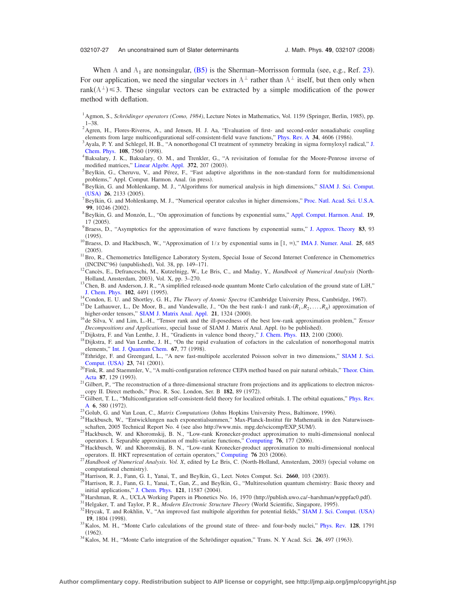When A and  $A_1$  are nonsingular, ([B5](#page-24-0)) is the Sherman–Morrisson formula (see, e.g., Ref. [23](#page-26-21)). For our application, we need the singular vectors in  $A^{\perp}$  rather than  $A^{\perp}$  itself, but then only when rank $(A^{\perp})$   $\leq$  3. These singular vectors can be extracted by a simple modification of the power method with deflation.

- <span id="page-26-16"></span><sup>1</sup> Agmon, S., *Schrödinger operators (Como, 1984)*, Lecture Notes in Mathematics, Vol. 1159 (Springer, Berlin, 1985), pp. 1–38.
- <span id="page-26-5"></span><sup>2</sup> Agren, H., Flores-Riveros, A., and Jensen, H. J. Aa, "Evaluation of first- and second-order nonadiabatic coupling elements from large multiconfigurational self-consistent-field wave functions," [Phys. Rev. A](http://dx.doi.org/10.1103/PhysRevA.34.4606) **34**, 4606 (1986).
- <span id="page-26-9"></span><sup>3</sup> Ayala, P. Y. and Schlegel, H. B., "A nonorthogonal CI treatment of symmetry breaking in sigma formyloxyl radical," [J.](http://dx.doi.org/10.1063/1.476190) **[Chem. Phys.](http://dx.doi.org/10.1063/1.476190) 108**, 7560 (1998).
- <span id="page-26-33"></span>Baksalary, J. K., Baksalary, O. M., and Trenkler, G., "A revisitation of fomulae for the Moore-Penrose inverse of modified matrices," [Linear Algebr. Appl.](http://dx.doi.org/10.1016/S0024-3795(03)00508-1) **372**, 207 (2003).
- <span id="page-26-15"></span><sup>5</sup>Beylkin, G., Cheruvu, V., and Pérez, F., "Fast adaptive algorithms in the non-standard form for multidimensional problems," Appl. Comput. Harmon. Anal. (in press).<br> $^{6}$  Boylkin, G, and Moblembarra, M, J. "Algorithms for
- <span id="page-26-1"></span><sup>6</sup> Beylkin, G. and Mohlenkamp, M. J., "Algorithms for numerical analysis in high dimensions," [SIAM J. Sci. Comput.](http://dx.doi.org/10.1137/040604959)  $\frac{(USA)}{7}$  $\frac{(USA)}{7}$  $\frac{(USA)}{7}$  **26**, 2133 (2005).
- <span id="page-26-0"></span> $B$ Beylkin, G. and Mohlenkamp, M. J., "Numerical operator calculus in higher dimensions," [Proc. Natl. Acad. Sci. U.S.A.](http://dx.doi.org/10.1073/pnas.112329799) 99, 10246 (2002).
- <span id="page-26-30"></span>. <sup>8</sup> Beylkin, G. and Monzón, L., "On approximation of functions by exponential sums," [Appl. Comput. Harmon. Anal.](http://dx.doi.org/10.1016/j.acha.2005.01.003) **19**,  $^{17}$  (2005).
- <span id="page-26-28"></span>Braess, D., "Asymptotics for the approximation of wave functions by exponential sums," [J. Approx. Theory](http://dx.doi.org/10.1006/jath.1995.1110) **83**, 93  $(1995)$
- <span id="page-26-31"></span>(1995).<br><sup>10</sup> Braess, D. and Hackbusch, W., "Approximation of  $1/x$  by exponential sums in  $[1, \infty)$ ," **[IMA J. Numer. Anal.](http://dx.doi.org/10.1093/imanum/dri015) 25**, 685  $(2005).$
- <span id="page-26-19"></span><sup>11</sup> Bro, R., Chemometrics Intelligence Laboratory System, Special Issue of Second Internet Conference in Chemometrics (INCINC'96) (unpublished)
- <span id="page-26-4"></span><sup>12</sup> Cancès, E., Defranceschi, M., Kutzelnigg, W., Le Bris, C., and Maday, Y., *Handbook of Numerical Analysis* (North-Holland, Amsterdam, 2003), Vol. X, pp. 3-270.
- <span id="page-26-13"></span><sup>13</sup> Chen, B. and Anderson, J. R., "A simplified released-node quantum Monte Carlo calculation of the ground state of LiH," [J. Chem. Phys.](http://dx.doi.org/10.1063/1.469497) 102, 4491 (1995).
- <span id="page-26-25"></span><sup>14</sup>Condon, E. U. and Shortley, G. H., *The Theory of Atomic Spectra* (Cambridge University Press, Cambridge, 1967).
- <span id="page-26-20"></span><sup>14</sup> Condon, E. U. and Shortley, G. H., *The Theory of Atomic Spectra* (Cambridge University Press, Cambridge, 1967).<br><sup>15</sup> De Lathauwer, L., De Moor, B., and Vandewalle, J., "On the best rank-1 and rank- $(R_1, R_2, ..., R_N)$  appr higher-order tensors," [SIAM J. Matrix Anal. Appl.](http://dx.doi.org/10.1137/S0895479898346995) 21, 1324 (2000).
- <span id="page-26-17"></span>. <sup>16</sup> de Silva, V. and Lim, L.-H., "Tensor rank and the ill-posedness of the best low-rank approximation problem," *Tensor Decompositions and Applications*, special Issue of SIAM J. Matrix Anal. Appl. (to be published).
- <span id="page-26-10"></span><sup>17</sup>Dijkstra, F. and Van Lenthe, J. H., "Gradients in valence bond theory," [J. Chem. Phys.](http://dx.doi.org/10.1063/1.482021) **113**, 2100 (2000).
- <span id="page-26-7"></span><sup>18</sup>Dijkstra, F. and Van Lenthe, J. H., "On the rapid evaluation of cofactors in the calculation of nonorthogonal matrix elements," [Int. J. Quantum Chem.](http://dx.doi.org/10.1002/(SICI)1097-461X(1998)67:2<77::AID-QUA2>3.0.CO;2-V) **67**, 77 (1998).
- <span id="page-26-23"></span><sup>19</sup>Ethridge, F. and Greengard, L., "A new fast-multipole accelerated Poisson solver in two dimensions," [SIAM J. Sci.](http://dx.doi.org/10.1137/S1064827500369967) **[Comput.](http://dx.doi.org/10.1137/S1064827500369967)** (USA) 23, 741 (2001)
- <span id="page-26-8"></span><sup>20</sup>Fink, R. and Staemmler, V., "A multi-configuration reference CEPA method based on pair natural orbitals," [Theor. Chim.](http://dx.doi.org/10.1007/BF01113534) [Acta](http://dx.doi.org/10.1007/BF01113534) 87, 129 (1993).
- <span id="page-26-6"></span> $21$ Gilbert, P., "The reconstruction of a three-dimensional structure from projections and its applications to electron microscopy II. Direct methods," Proc. R. Soc. London, Ser. B **182**, 89 (1972).
- <span id="page-26-3"></span><sup>22</sup>Gilbert, T. L., "Multiconfiguration self-consistent-field theory for localized orbitals. I. The orbital equations," [Phys. Rev.](http://dx.doi.org/10.1103/PhysRevA.6.580) [A](http://dx.doi.org/10.1103/PhysRevA.6.580) 6, 580 (1972).
- <span id="page-26-21"></span><sup>23</sup>Golub, G. and Van Loan, C., *Matrix Computations* (Johns Hopkins University Press, Baltimore, 1996).
- <span id="page-26-32"></span><sup>24</sup> Hackbusch, W., "Entwicklungen nach exponentialsummen," Max-Planck-Institut für Mathematik in den Naturwissenschaften, 2005 Technical Report No. 4 (see also http://www.mis. mpg.de/scicomp/EXP\_SUM/)
- <span id="page-26-26"></span><sup>25</sup> Hackbusch, W. and Khoromskij, B. N., "Low-rank Kronecker-product approximation to multi-dimensional nonlocal operators. I. Separable approximation of multi-variate functions," [Computing](http://dx.doi.org/10.1007/s00607-005-0144-0) 76, 177 (2006).
- <span id="page-26-27"></span><sup>26</sup>Hackbusch, W. and Khoromskij, B. N., "Low-rank Kronecker-product approximation to multi-dimensional nonlocal operators. II. HKT representation of certain operators," [Computing](http://dx.doi.org/10.1007/s00607-005-0145-z) 76 203 (2006).
- <span id="page-26-24"></span>operators. II. HKT representation of certain operators," Computing 76 203 (2006).<br><sup>27</sup> Handbook of Numerical Analysis. Vol. X, edited by Le Bris, C. (North-Holland, Amsterdam, 2003) (special volume on computational chemistry).
- <span id="page-26-22"></span>28 Harrison, R. J., Fann, G. I., Yanai, T., and Beylkin, G., Lect. Notes Comput. Sci. 2660, 103 (2003).
- <span id="page-26-14"></span><sup>29</sup> Harrison, R. J., Fann, G. I., Yanai, T., Gan, Z., and Beylkin, G., "Multiresolution quantum chemistry: Basic theory and initial applications," [J. Chem. Phys.](http://dx.doi.org/10.1063/1.1791051) 121, 11587 (2004).
- <span id="page-26-18"></span><sup>30</sup>Harshman, R. A., UCLA Working Papers in Phonetics No. 16, 1970 (http://publish.uwo.ca/~harshman/wpppfac0.pdf).
- <span id="page-26-29"></span><span id="page-26-2"></span><sup>31</sup> Helgaker, T. and Taylor, P. R., *Modern Electronic Structure Theory* (World Scientific, Singapore, 1995).
- <sup>31</sup> Helgaker, T. and Taylor, P. R., *Modern Electronic Structure Theory* (World Scientific, Singapore, 1995).<br><sup>32</sup> Hrycak, T. and Rokhlin, V., "An improved fast multipole algorithm for potential fields," SIAM J. Sci. Comp 19, 1804 (1998).
- <span id="page-26-11"></span>. 33Kalos, M. H., "Monte Carlo calculations of the ground state of three- and four-body nuclei," [Phys. Rev.](http://dx.doi.org/10.1103/PhysRev.128.1791) **<sup>128</sup>**, 1791  $(1962)$ . (1962).<br><sup>34</sup>Kalos, M. H., "Monte Carlo integration of the Schrödinger equation," Trans. N. Y Acad. Sci. **26**, 497 (1963).
- <span id="page-26-12"></span>